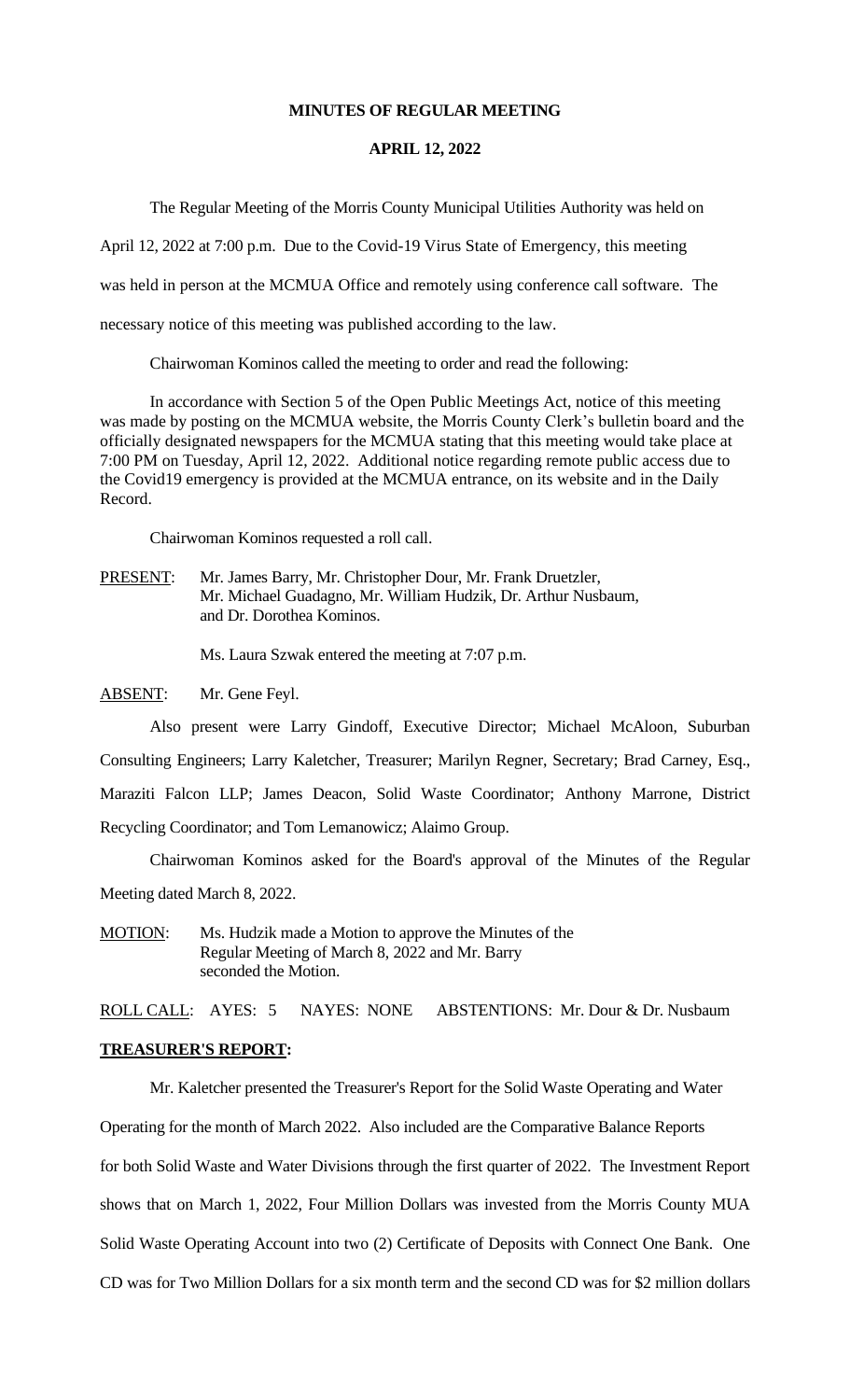#### **MINUTES OF REGULAR MEETING**

#### **APRIL 12, 2022**

The Regular Meeting of the Morris County Municipal Utilities Authority was held on

April 12, 2022 at 7:00 p.m. Due to the Covid-19 Virus State of Emergency, this meeting

was held in person at the MCMUA Office and remotely using conference call software. The

necessary notice of this meeting was published according to the law.

Chairwoman Kominos called the meeting to order and read the following:

In accordance with Section 5 of the Open Public Meetings Act, notice of this meeting was made by posting on the MCMUA website, the Morris County Clerk's bulletin board and the officially designated newspapers for the MCMUA stating that this meeting would take place at 7:00 PM on Tuesday, April 12, 2022. Additional notice regarding remote public access due to the Covid19 emergency is provided at the MCMUA entrance, on its website and in the Daily Record.

Chairwoman Kominos requested a roll call.

PRESENT: Mr. James Barry, Mr. Christopher Dour, Mr. Frank Druetzler, Mr. Michael Guadagno, Mr. William Hudzik, Dr. Arthur Nusbaum, and Dr. Dorothea Kominos.

Ms. Laura Szwak entered the meeting at 7:07 p.m.

ABSENT: Mr. Gene Feyl.

Also present were Larry Gindoff, Executive Director; Michael McAloon, Suburban Consulting Engineers; Larry Kaletcher, Treasurer; Marilyn Regner, Secretary; Brad Carney, Esq., Maraziti Falcon LLP; James Deacon, Solid Waste Coordinator; Anthony Marrone, District Recycling Coordinator; and Tom Lemanowicz; Alaimo Group.

Chairwoman Kominos asked for the Board's approval of the Minutes of the Regular Meeting dated March 8, 2022.

MOTION: Ms. Hudzik made a Motion to approve the Minutes of the Regular Meeting of March 8, 2022 and Mr. Barry seconded the Motion.

ROLL CALL: AYES: 5 NAYES: NONE ABSTENTIONS: Mr. Dour & Dr. Nusbaum

#### **TREASURER'S REPORT:**

Mr. Kaletcher presented the Treasurer's Report for the Solid Waste Operating and Water

Operating for the month of March 2022. Also included are the Comparative Balance Reports

for both Solid Waste and Water Divisions through the first quarter of 2022. The Investment Report

shows that on March 1, 2022, Four Million Dollars was invested from the Morris County MUA

Solid Waste Operating Account into two (2) Certificate of Deposits with Connect One Bank. One

CD was for Two Million Dollars for a six month term and the second CD was for \$2 million dollars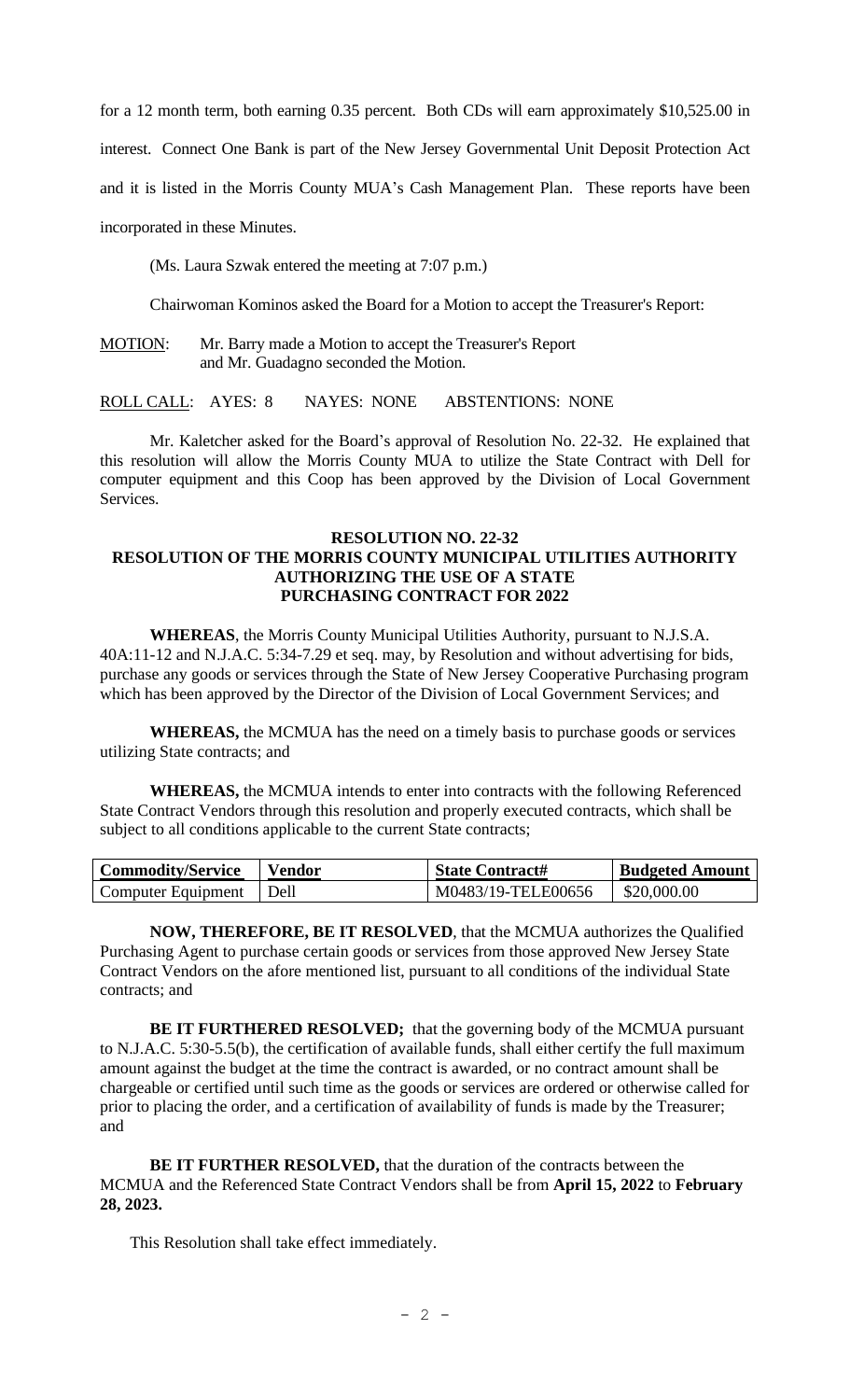for a 12 month term, both earning 0.35 percent. Both CDs will earn approximately \$10,525.00 in

interest. Connect One Bank is part of the New Jersey Governmental Unit Deposit Protection Act

and it is listed in the Morris County MUA's Cash Management Plan. These reports have been

incorporated in these Minutes.

(Ms. Laura Szwak entered the meeting at 7:07 p.m.)

Chairwoman Kominos asked the Board for a Motion to accept the Treasurer's Report:

MOTION: Mr. Barry made a Motion to accept the Treasurer's Report and Mr. Guadagno seconded the Motion.

ROLL CALL: AYES: 8 NAYES: NONE ABSTENTIONS: NONE

Mr. Kaletcher asked for the Board's approval of Resolution No. 22-32. He explained that this resolution will allow the Morris County MUA to utilize the State Contract with Dell for computer equipment and this Coop has been approved by the Division of Local Government Services.

## **RESOLUTION NO. 22-32 RESOLUTION OF THE MORRIS COUNTY MUNICIPAL UTILITIES AUTHORITY AUTHORIZING THE USE OF A STATE PURCHASING CONTRACT FOR 2022**

**WHEREAS**, the Morris County Municipal Utilities Authority, pursuant to N.J.S.A. 40A:11-12 and N.J.A.C. 5:34-7.29 et seq. may, by Resolution and without advertising for bids, purchase any goods or services through the State of New Jersey Cooperative Purchasing program which has been approved by the Director of the Division of Local Government Services; and

**WHEREAS,** the MCMUA has the need on a timely basis to purchase goods or services utilizing State contracts; and

**WHEREAS,** the MCMUA intends to enter into contracts with the following Referenced State Contract Vendors through this resolution and properly executed contracts, which shall be subject to all conditions applicable to the current State contracts;

| <b>Commodity/Service</b> | <b>Vendor</b> | <b>State Contract#</b> | <b>Budgeted Amount</b> |
|--------------------------|---------------|------------------------|------------------------|
| Computer Equipment       | Dell          | M0483/19-TELE00656     | \$20,000.00            |

**NOW, THEREFORE, BE IT RESOLVED**, that the MCMUA authorizes the Qualified Purchasing Agent to purchase certain goods or services from those approved New Jersey State Contract Vendors on the afore mentioned list, pursuant to all conditions of the individual State contracts; and

**BE IT FURTHERED RESOLVED;** that the governing body of the MCMUA pursuant to N.J.A.C. 5:30-5.5(b), the certification of available funds, shall either certify the full maximum amount against the budget at the time the contract is awarded, or no contract amount shall be chargeable or certified until such time as the goods or services are ordered or otherwise called for prior to placing the order, and a certification of availability of funds is made by the Treasurer; and

**BE IT FURTHER RESOLVED,** that the duration of the contracts between the MCMUA and the Referenced State Contract Vendors shall be from **April 15, 2022** to **February 28, 2023.**

This Resolution shall take effect immediately.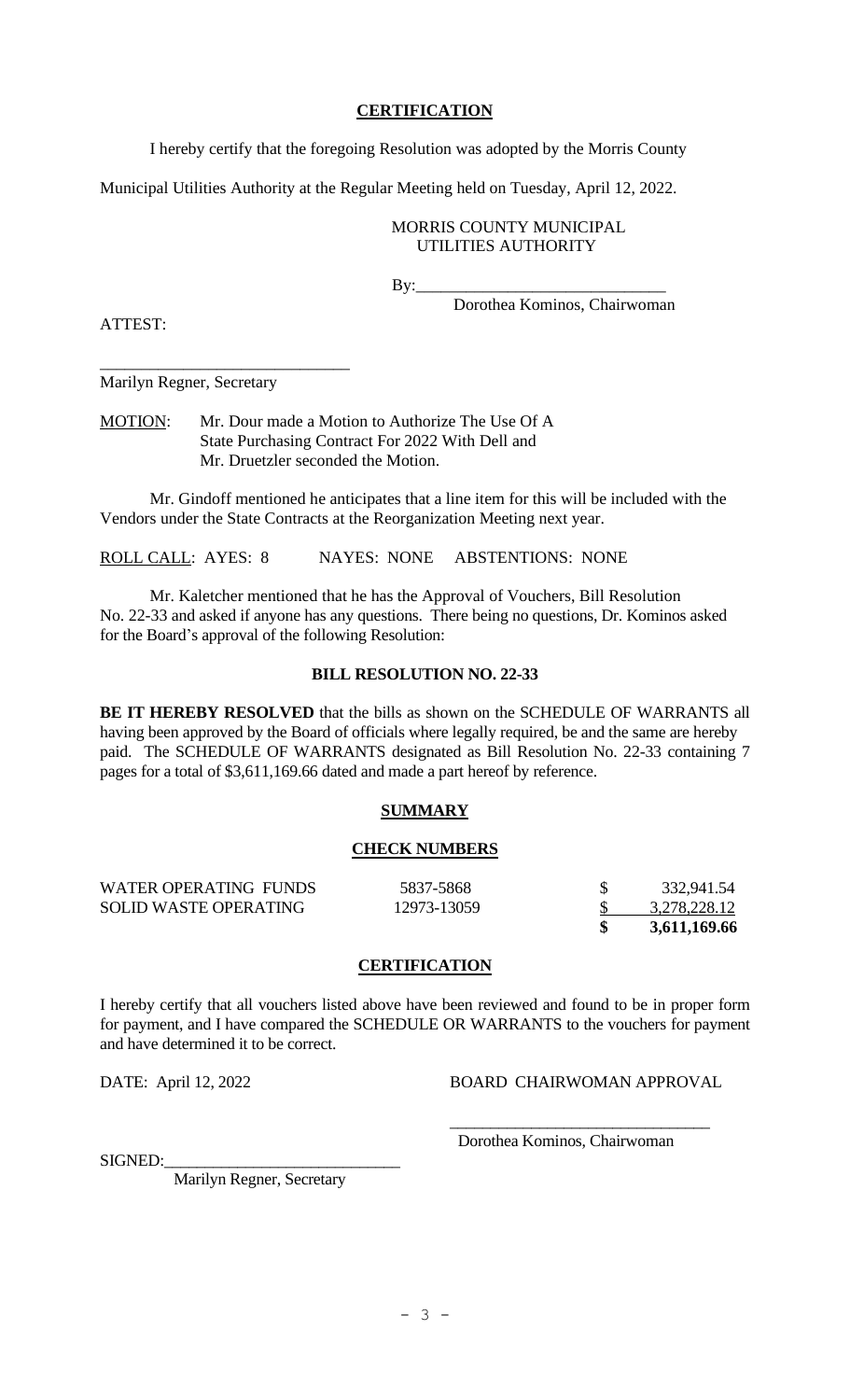## **CERTIFICATION**

I hereby certify that the foregoing Resolution was adopted by the Morris County

Municipal Utilities Authority at the Regular Meeting held on Tuesday, April 12, 2022.

## MORRIS COUNTY MUNICIPAL UTILITIES AUTHORITY

 $\mathbf{By:}$ 

Dorothea Kominos, Chairwoman

ATTEST:

Marilyn Regner, Secretary

\_\_\_\_\_\_\_\_\_\_\_\_\_\_\_\_\_\_\_\_\_\_\_\_\_\_\_\_\_\_

MOTION: Mr. Dour made a Motion to Authorize The Use Of A State Purchasing Contract For 2022 With Dell and Mr. Druetzler seconded the Motion.

Mr. Gindoff mentioned he anticipates that a line item for this will be included with the Vendors under the State Contracts at the Reorganization Meeting next year.

ROLL CALL: AYES: 8 NAYES: NONE ABSTENTIONS: NONE

Mr. Kaletcher mentioned that he has the Approval of Vouchers, Bill Resolution No. 22-33 and asked if anyone has any questions. There being no questions, Dr. Kominos asked for the Board's approval of the following Resolution:

## **BILL RESOLUTION NO. 22-33**

**BE IT HEREBY RESOLVED** that the bills as shown on the SCHEDULE OF WARRANTS all having been approved by the Board of officials where legally required, be and the same are hereby paid. The SCHEDULE OF WARRANTS designated as Bill Resolution No. 22-33 containing 7 pages for a total of \$3,611,169.66 dated and made a part hereof by reference.

# **SUMMARY**

#### **CHECK NUMBERS**

| WATER OPERATING FUNDS | 5837-5868   | 332,941.54   |
|-----------------------|-------------|--------------|
| SOLID WASTE OPERATING | 12973-13059 | 3,278,228.12 |
|                       |             | 3,611,169.66 |

## **CERTIFICATION**

I hereby certify that all vouchers listed above have been reviewed and found to be in proper form for payment, and I have compared the SCHEDULE OR WARRANTS to the vouchers for payment and have determined it to be correct.

DATE: April 12, 2022 BOARD CHAIRWOMAN APPROVAL

\_\_\_\_\_\_\_\_\_\_\_\_\_\_\_\_\_\_\_\_\_\_\_\_\_\_\_\_\_\_\_\_ Dorothea Kominos, Chairwoman

SIGNED:

Marilyn Regner, Secretary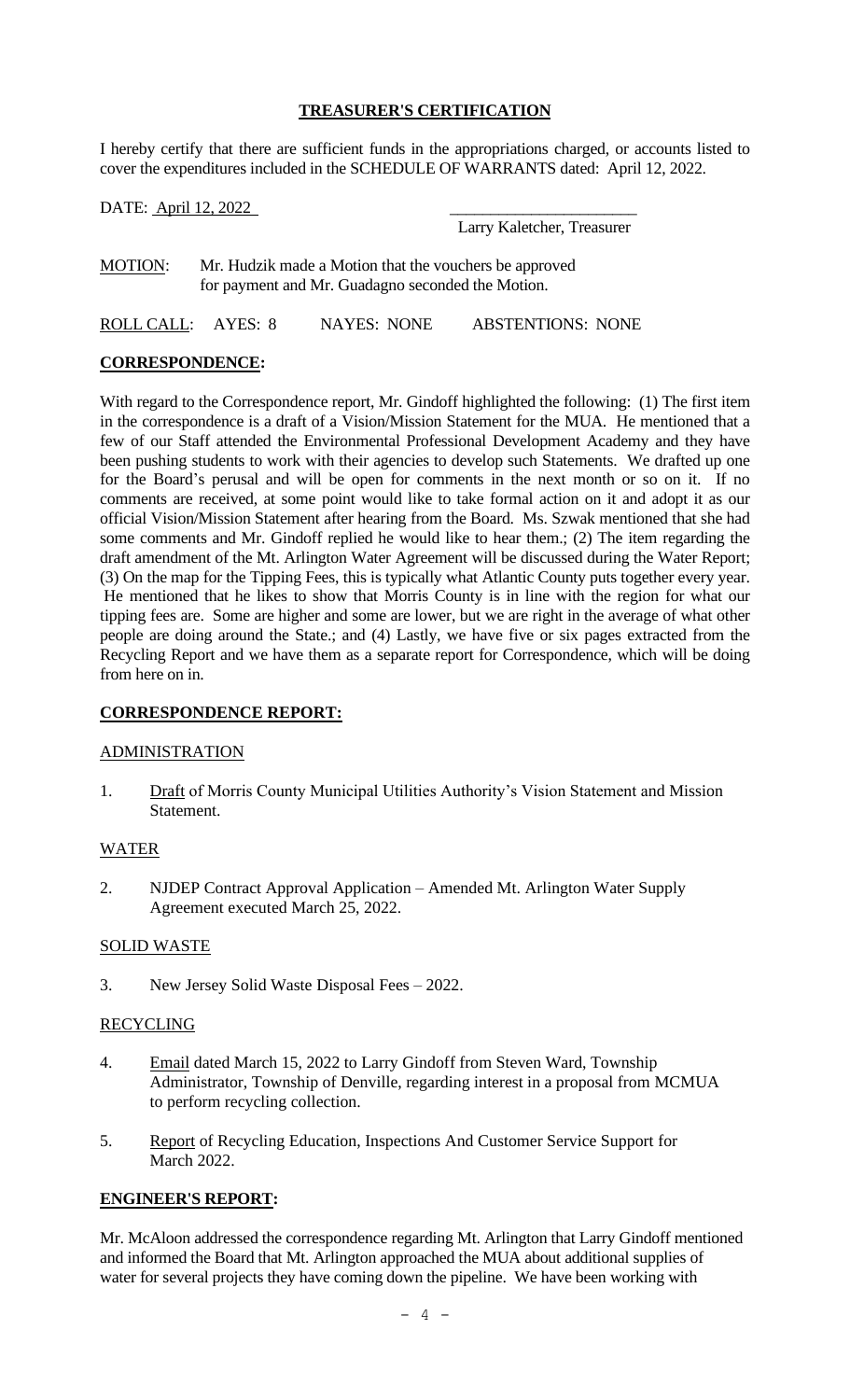# **TREASURER'S CERTIFICATION**

I hereby certify that there are sufficient funds in the appropriations charged, or accounts listed to cover the expenditures included in the SCHEDULE OF WARRANTS dated: April 12, 2022.

DATE: <u>April 12, 2022</u>

Larry Kaletcher, Treasurer

MOTION: Mr. Hudzik made a Motion that the vouchers be approved for payment and Mr. Guadagno seconded the Motion.

ROLL CALL: AYES: 8 NAYES: NONE ABSTENTIONS: NONE

## **CORRESPONDENCE:**

With regard to the Correspondence report, Mr. Gindoff highlighted the following: (1) The first item in the correspondence is a draft of a Vision/Mission Statement for the MUA. He mentioned that a few of our Staff attended the Environmental Professional Development Academy and they have been pushing students to work with their agencies to develop such Statements. We drafted up one for the Board's perusal and will be open for comments in the next month or so on it. If no comments are received, at some point would like to take formal action on it and adopt it as our official Vision/Mission Statement after hearing from the Board. Ms. Szwak mentioned that she had some comments and Mr. Gindoff replied he would like to hear them.; (2) The item regarding the draft amendment of the Mt. Arlington Water Agreement will be discussed during the Water Report; (3) On the map for the Tipping Fees, this is typically what Atlantic County puts together every year. He mentioned that he likes to show that Morris County is in line with the region for what our tipping fees are. Some are higher and some are lower, but we are right in the average of what other people are doing around the State.; and (4) Lastly, we have five or six pages extracted from the Recycling Report and we have them as a separate report for Correspondence, which will be doing from here on in.

# **CORRESPONDENCE REPORT:**

## ADMINISTRATION

1. Draft of Morris County Municipal Utilities Authority's Vision Statement and Mission Statement.

## WATER

2. NJDEP Contract Approval Application – Amended Mt. Arlington Water Supply Agreement executed March 25, 2022.

## SOLID WASTE

3. New Jersey Solid Waste Disposal Fees – 2022.

## RECYCLING

- 4. Email dated March 15, 2022 to Larry Gindoff from Steven Ward, Township Administrator, Township of Denville, regarding interest in a proposal from MCMUA to perform recycling collection.
- 5. Report of Recycling Education, Inspections And Customer Service Support for March 2022.

## **ENGINEER'S REPORT:**

Mr. McAloon addressed the correspondence regarding Mt. Arlington that Larry Gindoff mentioned and informed the Board that Mt. Arlington approached the MUA about additional supplies of water for several projects they have coming down the pipeline. We have been working with

 $- 4 -$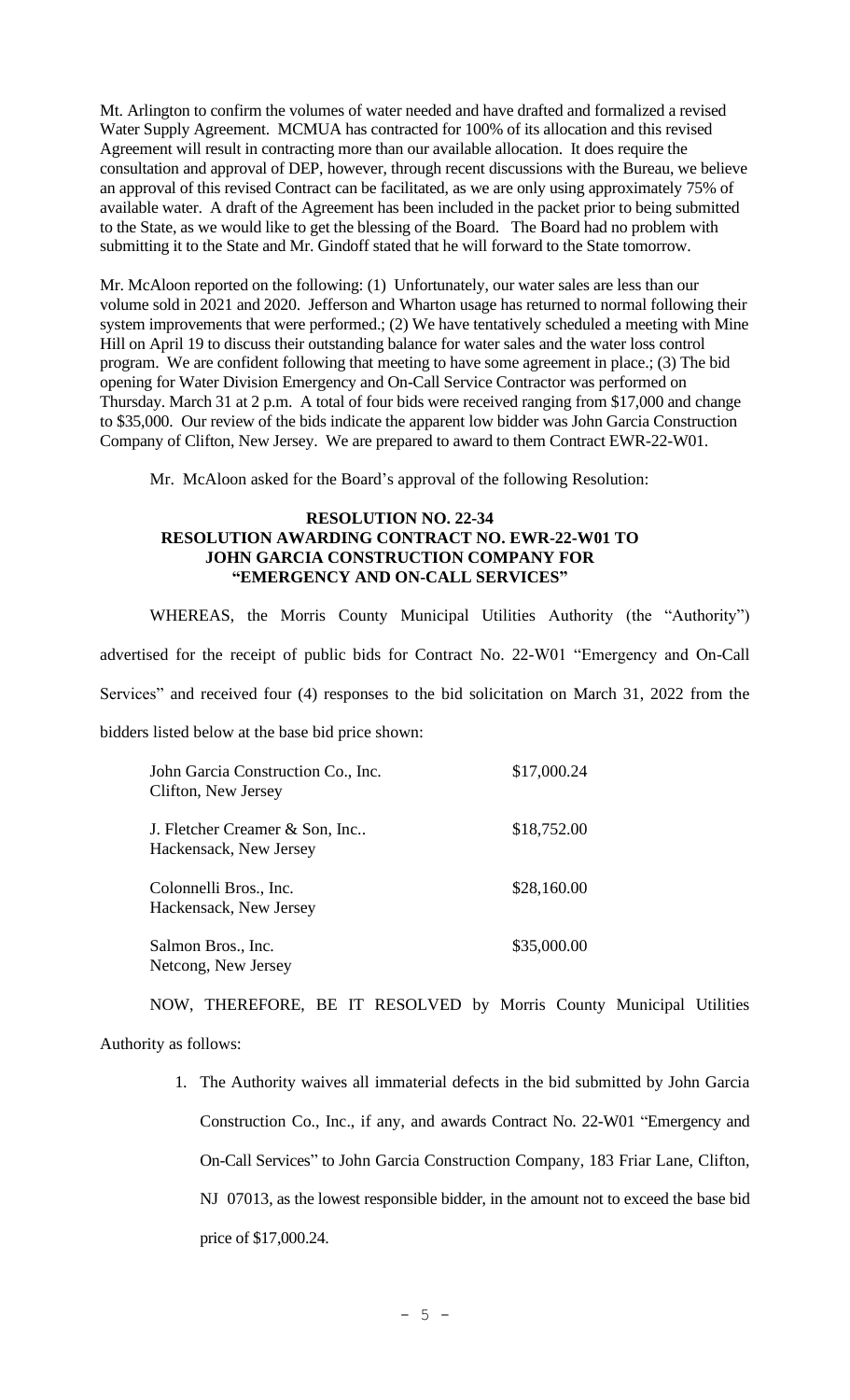Mt. Arlington to confirm the volumes of water needed and have drafted and formalized a revised Water Supply Agreement. MCMUA has contracted for 100% of its allocation and this revised Agreement will result in contracting more than our available allocation. It does require the consultation and approval of DEP, however, through recent discussions with the Bureau, we believe an approval of this revised Contract can be facilitated, as we are only using approximately 75% of available water. A draft of the Agreement has been included in the packet prior to being submitted to the State, as we would like to get the blessing of the Board. The Board had no problem with submitting it to the State and Mr. Gindoff stated that he will forward to the State tomorrow.

Mr. McAloon reported on the following: (1) Unfortunately, our water sales are less than our volume sold in 2021 and 2020. Jefferson and Wharton usage has returned to normal following their system improvements that were performed.; (2) We have tentatively scheduled a meeting with Mine Hill on April 19 to discuss their outstanding balance for water sales and the water loss control program. We are confident following that meeting to have some agreement in place.; (3) The bid opening for Water Division Emergency and On-Call Service Contractor was performed on Thursday. March 31 at 2 p.m. A total of four bids were received ranging from \$17,000 and change to \$35,000. Our review of the bids indicate the apparent low bidder was John Garcia Construction Company of Clifton, New Jersey. We are prepared to award to them Contract EWR-22-W01.

Mr. McAloon asked for the Board's approval of the following Resolution:

## **RESOLUTION NO. 22-34 RESOLUTION AWARDING CONTRACT NO. EWR-22-W01 TO JOHN GARCIA CONSTRUCTION COMPANY FOR "EMERGENCY AND ON-CALL SERVICES"**

WHEREAS, the Morris County Municipal Utilities Authority (the "Authority") advertised for the receipt of public bids for Contract No. 22-W01 "Emergency and On-Call Services" and received four (4) responses to the bid solicitation on March 31, 2022 from the

bidders listed below at the base bid price shown:

| John Garcia Construction Co., Inc.<br>Clifton, New Jersey | \$17,000.24 |
|-----------------------------------------------------------|-------------|
| J. Fletcher Creamer & Son, Inc<br>Hackensack, New Jersey  | \$18,752.00 |
| Colonnelli Bros., Inc.<br>Hackensack, New Jersey          | \$28,160.00 |
| Salmon Bros., Inc.<br>Netcong, New Jersey                 | \$35,000.00 |

NOW, THEREFORE, BE IT RESOLVED by Morris County Municipal Utilities Authority as follows:

> 1. The Authority waives all immaterial defects in the bid submitted by John Garcia Construction Co., Inc., if any, and awards Contract No. 22-W01 "Emergency and On-Call Services" to John Garcia Construction Company, 183 Friar Lane, Clifton, NJ 07013, as the lowest responsible bidder, in the amount not to exceed the base bid price of \$17,000.24.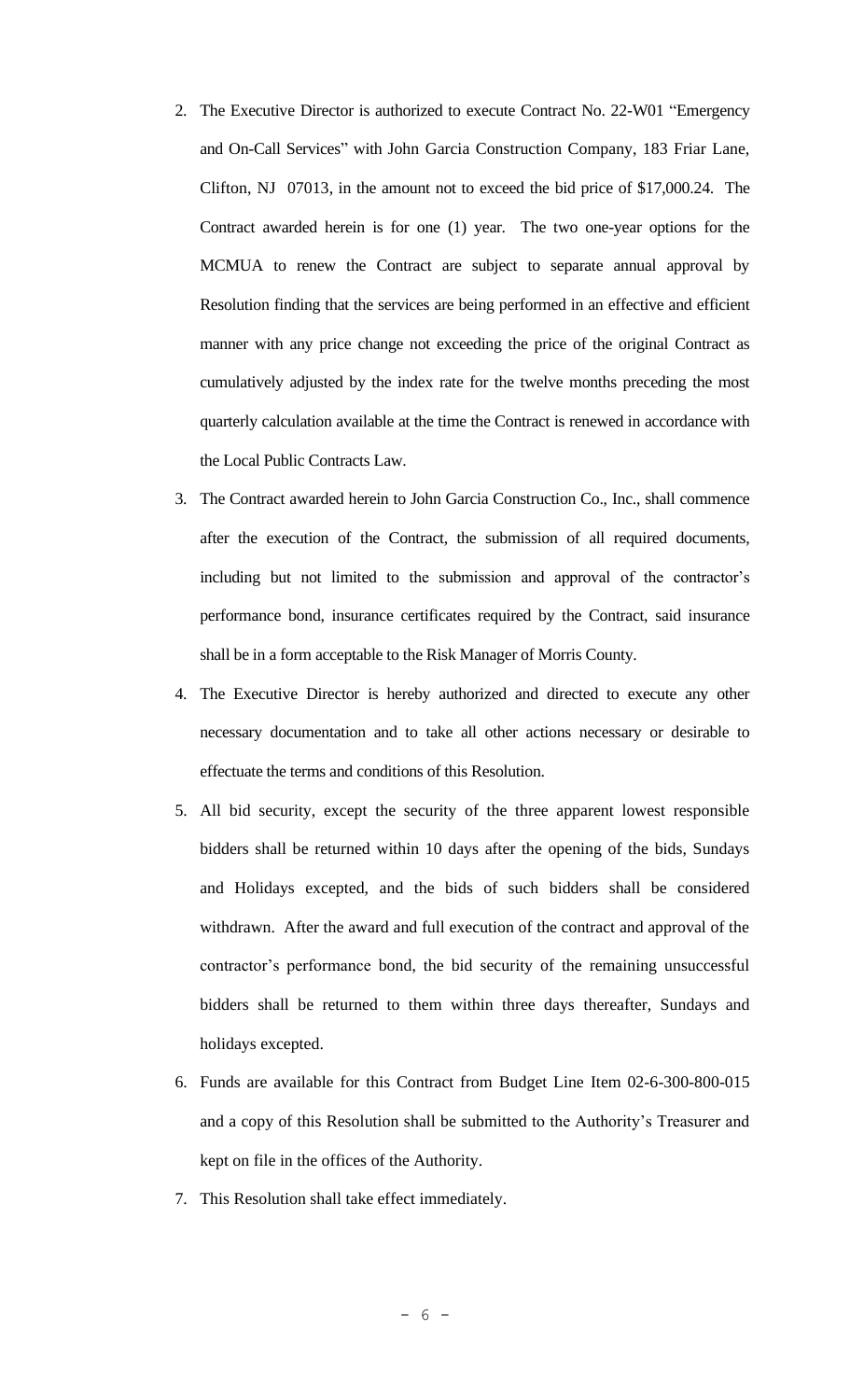- 2. The Executive Director is authorized to execute Contract No. 22-W01 "Emergency and On-Call Services" with John Garcia Construction Company, 183 Friar Lane, Clifton, NJ 07013, in the amount not to exceed the bid price of \$17,000.24. The Contract awarded herein is for one (1) year. The two one-year options for the MCMUA to renew the Contract are subject to separate annual approval by Resolution finding that the services are being performed in an effective and efficient manner with any price change not exceeding the price of the original Contract as cumulatively adjusted by the index rate for the twelve months preceding the most quarterly calculation available at the time the Contract is renewed in accordance with the Local Public Contracts Law.
- 3. The Contract awarded herein to John Garcia Construction Co., Inc., shall commence after the execution of the Contract, the submission of all required documents, including but not limited to the submission and approval of the contractor's performance bond, insurance certificates required by the Contract, said insurance shall be in a form acceptable to the Risk Manager of Morris County.
- 4. The Executive Director is hereby authorized and directed to execute any other necessary documentation and to take all other actions necessary or desirable to effectuate the terms and conditions of this Resolution.
- 5. All bid security, except the security of the three apparent lowest responsible bidders shall be returned within 10 days after the opening of the bids, Sundays and Holidays excepted, and the bids of such bidders shall be considered withdrawn. After the award and full execution of the contract and approval of the contractor's performance bond, the bid security of the remaining unsuccessful bidders shall be returned to them within three days thereafter, Sundays and holidays excepted.
- 6. Funds are available for this Contract from Budget Line Item 02-6-300-800-015 and a copy of this Resolution shall be submitted to the Authority's Treasurer and kept on file in the offices of the Authority.
- 7. This Resolution shall take effect immediately.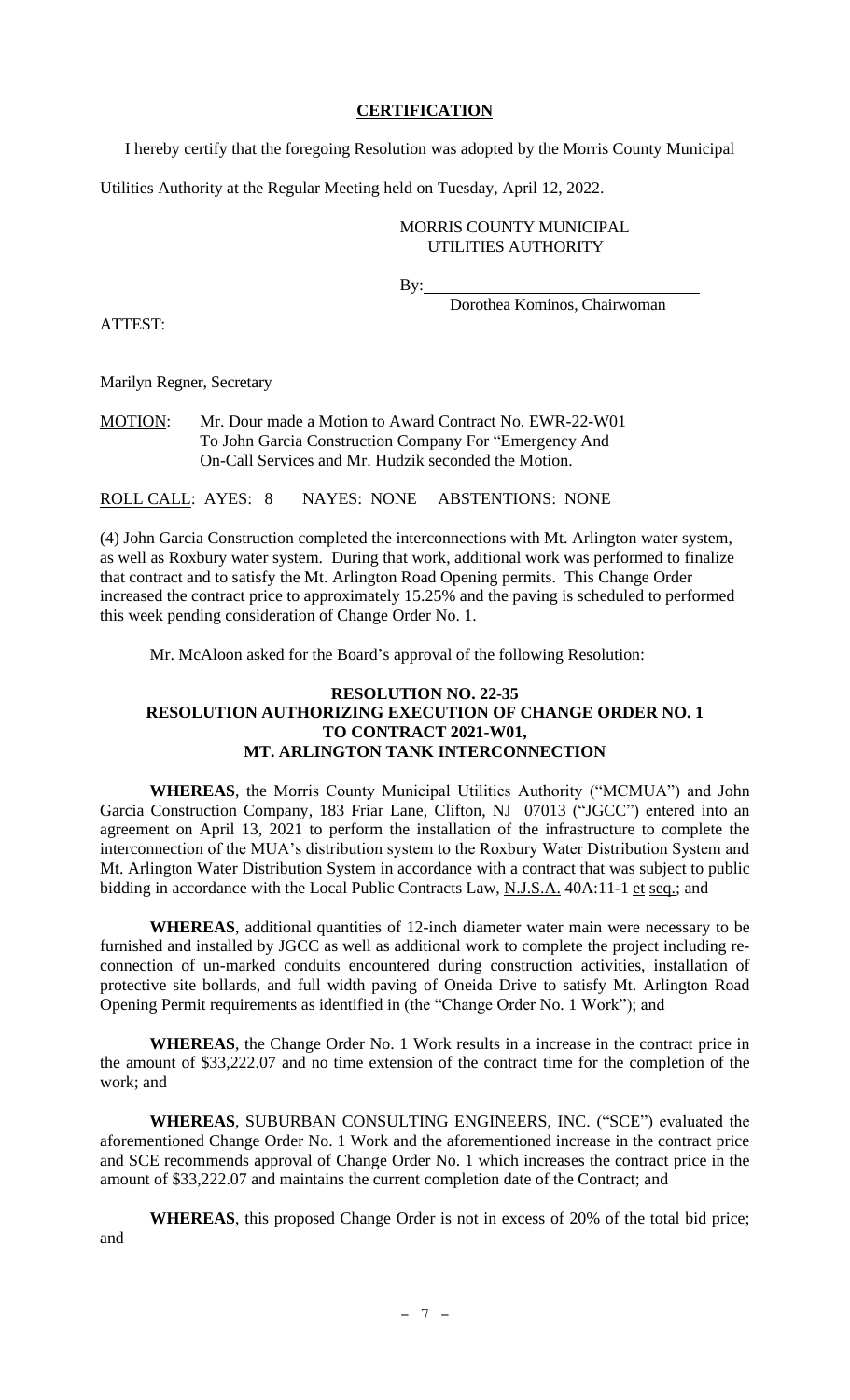## **CERTIFICATION**

I hereby certify that the foregoing Resolution was adopted by the Morris County Municipal

Utilities Authority at the Regular Meeting held on Tuesday, April 12, 2022.

## MORRIS COUNTY MUNICIPAL UTILITIES AUTHORITY

By:

Dorothea Kominos, Chairwoman

ATTEST:

Marilyn Regner, Secretary

MOTION: Mr. Dour made a Motion to Award Contract No. EWR-22-W01 To John Garcia Construction Company For "Emergency And On-Call Services and Mr. Hudzik seconded the Motion.

ROLL CALL: AYES: 8 NAYES: NONE ABSTENTIONS: NONE

(4) John Garcia Construction completed the interconnections with Mt. Arlington water system, as well as Roxbury water system. During that work, additional work was performed to finalize that contract and to satisfy the Mt. Arlington Road Opening permits. This Change Order increased the contract price to approximately 15.25% and the paving is scheduled to performed this week pending consideration of Change Order No. 1.

Mr. McAloon asked for the Board's approval of the following Resolution:

## **RESOLUTION NO. 22-35 RESOLUTION AUTHORIZING EXECUTION OF CHANGE ORDER NO. 1 TO CONTRACT 2021-W01, MT. ARLINGTON TANK INTERCONNECTION**

**WHEREAS**, the Morris County Municipal Utilities Authority ("MCMUA") and John Garcia Construction Company, 183 Friar Lane, Clifton, NJ 07013 ("JGCC") entered into an agreement on April 13, 2021 to perform the installation of the infrastructure to complete the interconnection of the MUA's distribution system to the Roxbury Water Distribution System and Mt. Arlington Water Distribution System in accordance with a contract that was subject to public bidding in accordance with the Local Public Contracts Law, N.J.S.A. 40A:11-1 et seq.; and

**WHEREAS**, additional quantities of 12-inch diameter water main were necessary to be furnished and installed by JGCC as well as additional work to complete the project including reconnection of un-marked conduits encountered during construction activities, installation of protective site bollards, and full width paving of Oneida Drive to satisfy Mt. Arlington Road Opening Permit requirements as identified in (the "Change Order No. 1 Work"); and

**WHEREAS**, the Change Order No. 1 Work results in a increase in the contract price in the amount of \$33,222.07 and no time extension of the contract time for the completion of the work; and

**WHEREAS**, SUBURBAN CONSULTING ENGINEERS, INC. ("SCE") evaluated the aforementioned Change Order No. 1 Work and the aforementioned increase in the contract price and SCE recommends approval of Change Order No. 1 which increases the contract price in the amount of \$33,222.07 and maintains the current completion date of the Contract; and

**WHEREAS**, this proposed Change Order is not in excess of 20% of the total bid price; and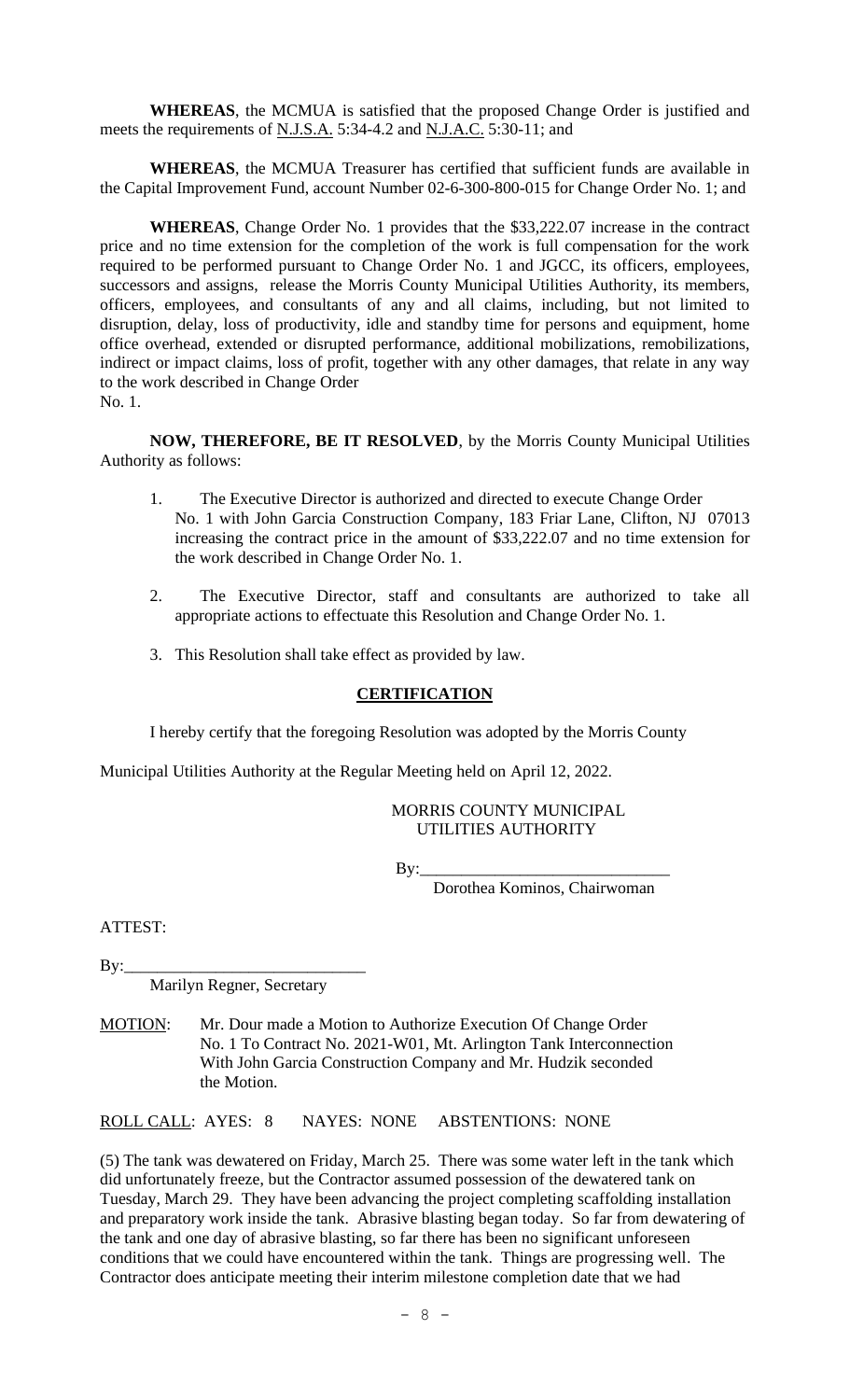**WHEREAS**, the MCMUA is satisfied that the proposed Change Order is justified and meets the requirements of N.J.S.A. 5:34-4.2 and N.J.A.C. 5:30-11; and

**WHEREAS**, the MCMUA Treasurer has certified that sufficient funds are available in the Capital Improvement Fund, account Number 02-6-300-800-015 for Change Order No. 1; and

**WHEREAS**, Change Order No. 1 provides that the \$33,222.07 increase in the contract price and no time extension for the completion of the work is full compensation for the work required to be performed pursuant to Change Order No. 1 and JGCC, its officers, employees, successors and assigns, release the Morris County Municipal Utilities Authority, its members, officers, employees, and consultants of any and all claims, including, but not limited to disruption, delay, loss of productivity, idle and standby time for persons and equipment, home office overhead, extended or disrupted performance, additional mobilizations, remobilizations, indirect or impact claims, loss of profit, together with any other damages, that relate in any way to the work described in Change Order No. 1.

**NOW, THEREFORE, BE IT RESOLVED**, by the Morris County Municipal Utilities Authority as follows:

- 1. The Executive Director is authorized and directed to execute Change Order No. 1 with John Garcia Construction Company, 183 Friar Lane, Clifton, NJ 07013 increasing the contract price in the amount of \$33,222.07 and no time extension for the work described in Change Order No. 1.
- 2. The Executive Director, staff and consultants are authorized to take all appropriate actions to effectuate this Resolution and Change Order No. 1.
- 3. This Resolution shall take effect as provided by law.

## **CERTIFICATION**

I hereby certify that the foregoing Resolution was adopted by the Morris County

Municipal Utilities Authority at the Regular Meeting held on April 12, 2022.

## MORRIS COUNTY MUNICIPAL UTILITIES AUTHORITY

By:\_\_\_\_\_\_\_\_\_\_\_\_\_\_\_\_\_\_\_\_\_\_\_\_\_\_\_\_\_\_

Dorothea Kominos, Chairwoman

ATTEST:

By:\_\_\_\_\_\_\_\_\_\_\_\_\_\_\_\_\_\_\_\_\_\_\_\_\_\_\_\_\_

Marilyn Regner, Secretary

MOTION: Mr. Dour made a Motion to Authorize Execution Of Change Order No. 1 To Contract No. 2021-W01, Mt. Arlington Tank Interconnection With John Garcia Construction Company and Mr. Hudzik seconded the Motion.

ROLL CALL: AYES: 8 NAYES: NONE ABSTENTIONS: NONE

(5) The tank was dewatered on Friday, March 25. There was some water left in the tank which did unfortunately freeze, but the Contractor assumed possession of the dewatered tank on Tuesday, March 29. They have been advancing the project completing scaffolding installation and preparatory work inside the tank. Abrasive blasting began today. So far from dewatering of the tank and one day of abrasive blasting, so far there has been no significant unforeseen conditions that we could have encountered within the tank. Things are progressing well. The Contractor does anticipate meeting their interim milestone completion date that we had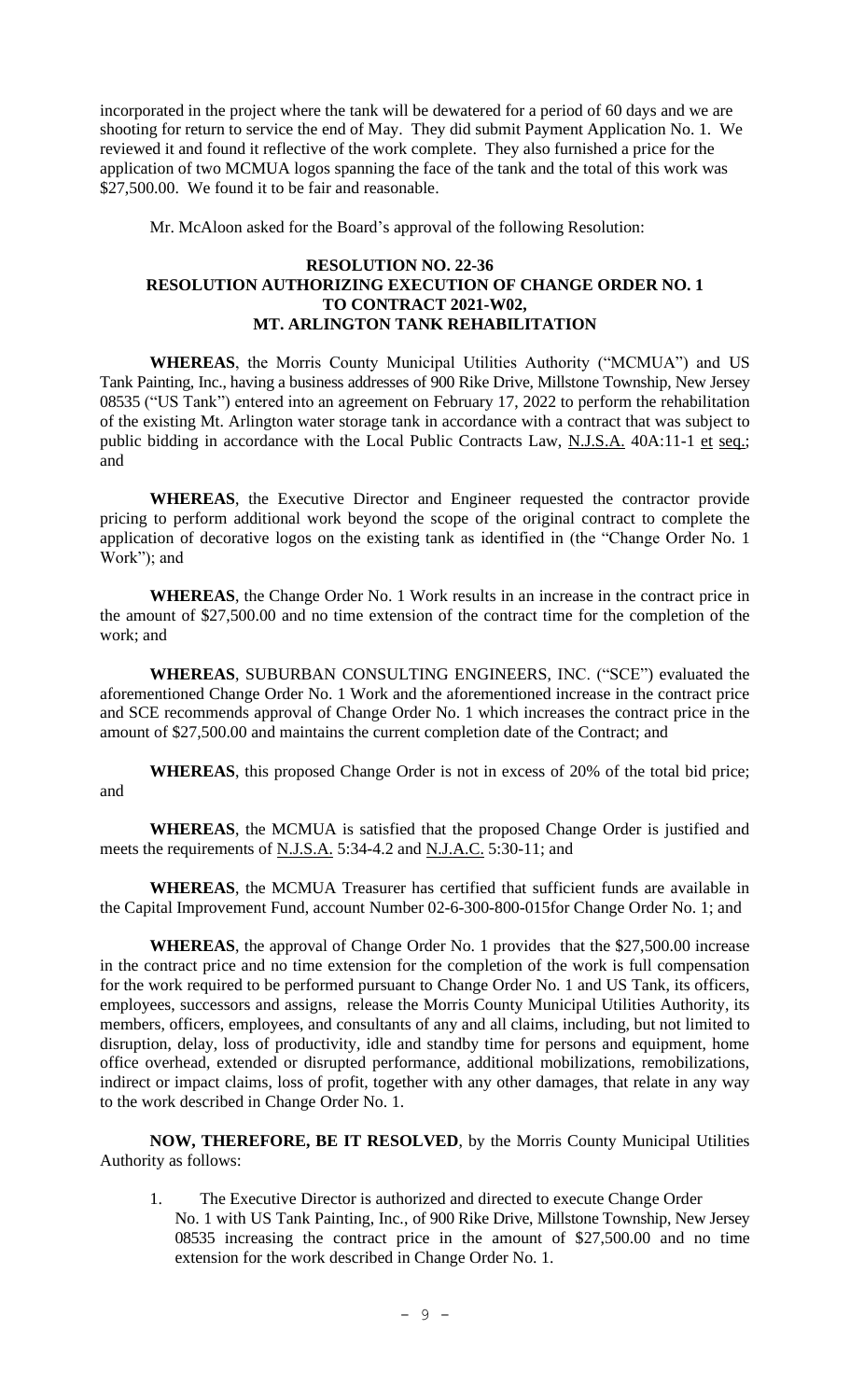incorporated in the project where the tank will be dewatered for a period of 60 days and we are shooting for return to service the end of May. They did submit Payment Application No. 1. We reviewed it and found it reflective of the work complete. They also furnished a price for the application of two MCMUA logos spanning the face of the tank and the total of this work was \$27,500.00. We found it to be fair and reasonable.

Mr. McAloon asked for the Board's approval of the following Resolution:

#### **RESOLUTION NO. 22-36 RESOLUTION AUTHORIZING EXECUTION OF CHANGE ORDER NO. 1 TO CONTRACT 2021-W02, MT. ARLINGTON TANK REHABILITATION**

**WHEREAS**, the Morris County Municipal Utilities Authority ("MCMUA") and US Tank Painting, Inc., having a business addresses of 900 Rike Drive, Millstone Township, New Jersey 08535 ("US Tank") entered into an agreement on February 17, 2022 to perform the rehabilitation of the existing Mt. Arlington water storage tank in accordance with a contract that was subject to public bidding in accordance with the Local Public Contracts Law, N.J.S.A. 40A:11-1 et seq.; and

**WHEREAS**, the Executive Director and Engineer requested the contractor provide pricing to perform additional work beyond the scope of the original contract to complete the application of decorative logos on the existing tank as identified in (the "Change Order No. 1 Work"); and

**WHEREAS**, the Change Order No. 1 Work results in an increase in the contract price in the amount of \$27,500.00 and no time extension of the contract time for the completion of the work; and

**WHEREAS**, SUBURBAN CONSULTING ENGINEERS, INC. ("SCE") evaluated the aforementioned Change Order No. 1 Work and the aforementioned increase in the contract price and SCE recommends approval of Change Order No. 1 which increases the contract price in the amount of \$27,500.00 and maintains the current completion date of the Contract; and

**WHEREAS**, this proposed Change Order is not in excess of 20% of the total bid price; and

**WHEREAS**, the MCMUA is satisfied that the proposed Change Order is justified and meets the requirements of N.J.S.A. 5:34-4.2 and N.J.A.C. 5:30-11; and

**WHEREAS**, the MCMUA Treasurer has certified that sufficient funds are available in the Capital Improvement Fund, account Number 02-6-300-800-015for Change Order No. 1; and

**WHEREAS**, the approval of Change Order No. 1 provides that the \$27,500.00 increase in the contract price and no time extension for the completion of the work is full compensation for the work required to be performed pursuant to Change Order No. 1 and US Tank, its officers, employees, successors and assigns, release the Morris County Municipal Utilities Authority, its members, officers, employees, and consultants of any and all claims, including, but not limited to disruption, delay, loss of productivity, idle and standby time for persons and equipment, home office overhead, extended or disrupted performance, additional mobilizations, remobilizations, indirect or impact claims, loss of profit, together with any other damages, that relate in any way to the work described in Change Order No. 1.

**NOW, THEREFORE, BE IT RESOLVED**, by the Morris County Municipal Utilities Authority as follows:

1. The Executive Director is authorized and directed to execute Change Order No. 1 with US Tank Painting, Inc., of 900 Rike Drive, Millstone Township, New Jersey 08535 increasing the contract price in the amount of \$27,500.00 and no time extension for the work described in Change Order No. 1.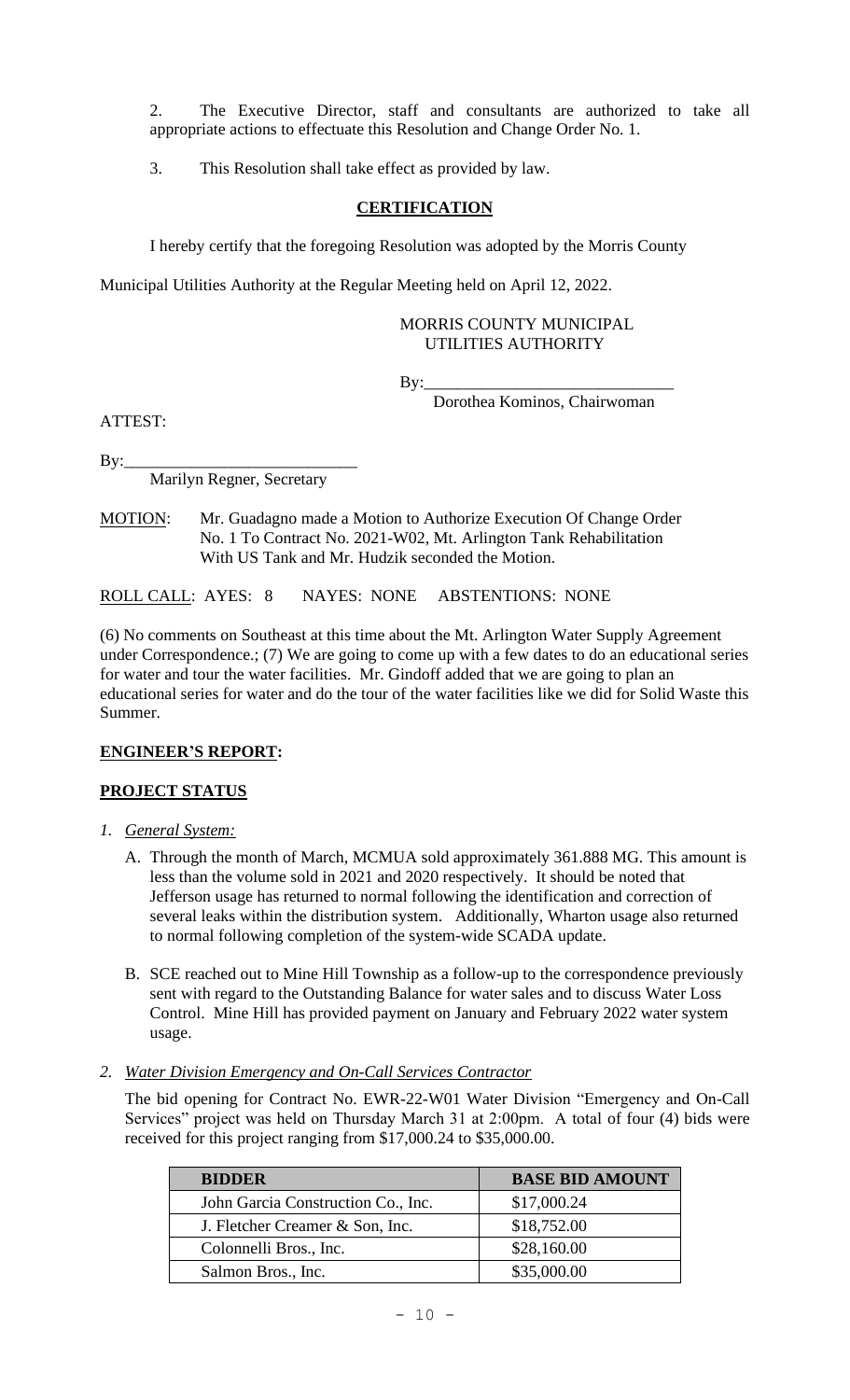2. The Executive Director, staff and consultants are authorized to take all appropriate actions to effectuate this Resolution and Change Order No. 1.

3. This Resolution shall take effect as provided by law.

## **CERTIFICATION**

I hereby certify that the foregoing Resolution was adopted by the Morris County

Municipal Utilities Authority at the Regular Meeting held on April 12, 2022.

#### MORRIS COUNTY MUNICIPAL UTILITIES AUTHORITY

By:\_\_\_\_\_\_\_\_\_\_\_\_\_\_\_\_\_\_\_\_\_\_\_\_\_\_\_\_\_\_

Dorothea Kominos, Chairwoman

ATTEST:

 $\mathbf{By:}\_$ 

Marilyn Regner, Secretary

MOTION: Mr. Guadagno made a Motion to Authorize Execution Of Change Order No. 1 To Contract No. 2021-W02, Mt. Arlington Tank Rehabilitation With US Tank and Mr. Hudzik seconded the Motion.

ROLL CALL: AYES: 8 NAYES: NONE ABSTENTIONS: NONE

(6) No comments on Southeast at this time about the Mt. Arlington Water Supply Agreement under Correspondence.; (7) We are going to come up with a few dates to do an educational series for water and tour the water facilities. Mr. Gindoff added that we are going to plan an educational series for water and do the tour of the water facilities like we did for Solid Waste this Summer.

# **ENGINEER'S REPORT:**

# **PROJECT STATUS**

- *1. General System:*
	- A. Through the month of March, MCMUA sold approximately 361.888 MG. This amount is less than the volume sold in 2021 and 2020 respectively. It should be noted that Jefferson usage has returned to normal following the identification and correction of several leaks within the distribution system. Additionally, Wharton usage also returned to normal following completion of the system-wide SCADA update.
	- B. SCE reached out to Mine Hill Township as a follow-up to the correspondence previously sent with regard to the Outstanding Balance for water sales and to discuss Water Loss Control. Mine Hill has provided payment on January and February 2022 water system usage.
- *2. Water Division Emergency and On-Call Services Contractor*

The bid opening for Contract No. EWR-22-W01 Water Division "Emergency and On-Call Services" project was held on Thursday March 31 at 2:00pm. A total of four (4) bids were received for this project ranging from \$17,000.24 to \$35,000.00.

| <b>BIDDER</b>                      | <b>BASE BID AMOUNT</b> |
|------------------------------------|------------------------|
| John Garcia Construction Co., Inc. | \$17,000.24            |
| J. Fletcher Creamer & Son, Inc.    | \$18,752.00            |
| Colonnelli Bros., Inc.             | \$28,160.00            |
| Salmon Bros., Inc.                 | \$35,000.00            |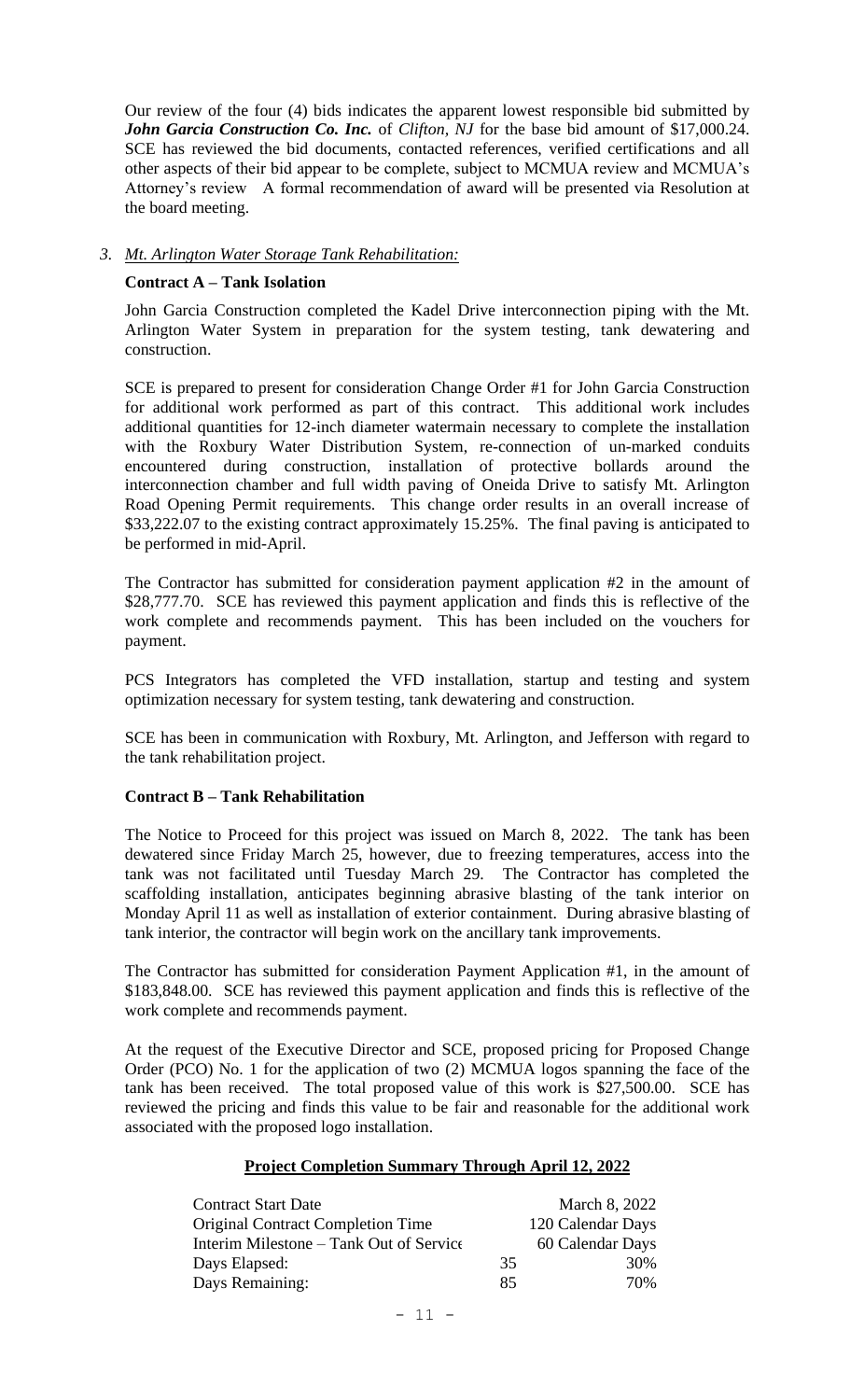Our review of the four (4) bids indicates the apparent lowest responsible bid submitted by *John Garcia Construction Co. Inc.* of *Clifton, NJ* for the base bid amount of \$17,000.24. SCE has reviewed the bid documents, contacted references, verified certifications and all other aspects of their bid appear to be complete, subject to MCMUA review and MCMUA's Attorney's review A formal recommendation of award will be presented via Resolution at the board meeting.

#### *3. Mt. Arlington Water Storage Tank Rehabilitation:*

#### **Contract A – Tank Isolation**

John Garcia Construction completed the Kadel Drive interconnection piping with the Mt. Arlington Water System in preparation for the system testing, tank dewatering and construction.

SCE is prepared to present for consideration Change Order #1 for John Garcia Construction for additional work performed as part of this contract. This additional work includes additional quantities for 12-inch diameter watermain necessary to complete the installation with the Roxbury Water Distribution System, re-connection of un-marked conduits encountered during construction, installation of protective bollards around the interconnection chamber and full width paving of Oneida Drive to satisfy Mt. Arlington Road Opening Permit requirements. This change order results in an overall increase of \$33,222.07 to the existing contract approximately 15.25%. The final paving is anticipated to be performed in mid-April.

The Contractor has submitted for consideration payment application #2 in the amount of \$28,777.70. SCE has reviewed this payment application and finds this is reflective of the work complete and recommends payment. This has been included on the vouchers for payment.

PCS Integrators has completed the VFD installation, startup and testing and system optimization necessary for system testing, tank dewatering and construction.

SCE has been in communication with Roxbury, Mt. Arlington, and Jefferson with regard to the tank rehabilitation project.

#### **Contract B – Tank Rehabilitation**

The Notice to Proceed for this project was issued on March 8, 2022. The tank has been dewatered since Friday March 25, however, due to freezing temperatures, access into the tank was not facilitated until Tuesday March 29. The Contractor has completed the scaffolding installation, anticipates beginning abrasive blasting of the tank interior on Monday April 11 as well as installation of exterior containment. During abrasive blasting of tank interior, the contractor will begin work on the ancillary tank improvements.

The Contractor has submitted for consideration Payment Application #1, in the amount of \$183,848.00. SCE has reviewed this payment application and finds this is reflective of the work complete and recommends payment.

At the request of the Executive Director and SCE, proposed pricing for Proposed Change Order (PCO) No. 1 for the application of two (2) MCMUA logos spanning the face of the tank has been received. The total proposed value of this work is \$27,500.00. SCE has reviewed the pricing and finds this value to be fair and reasonable for the additional work associated with the proposed logo installation.

#### **Project Completion Summary Through April 12, 2022**

| <b>Contract Start Date</b>               |    | March 8, 2022     |
|------------------------------------------|----|-------------------|
| <b>Original Contract Completion Time</b> |    | 120 Calendar Days |
| Interim Milestone – Tank Out of Service  |    | 60 Calendar Days  |
| Days Elapsed:                            | 35 | 30%               |
| Days Remaining:                          | 85 | 70%               |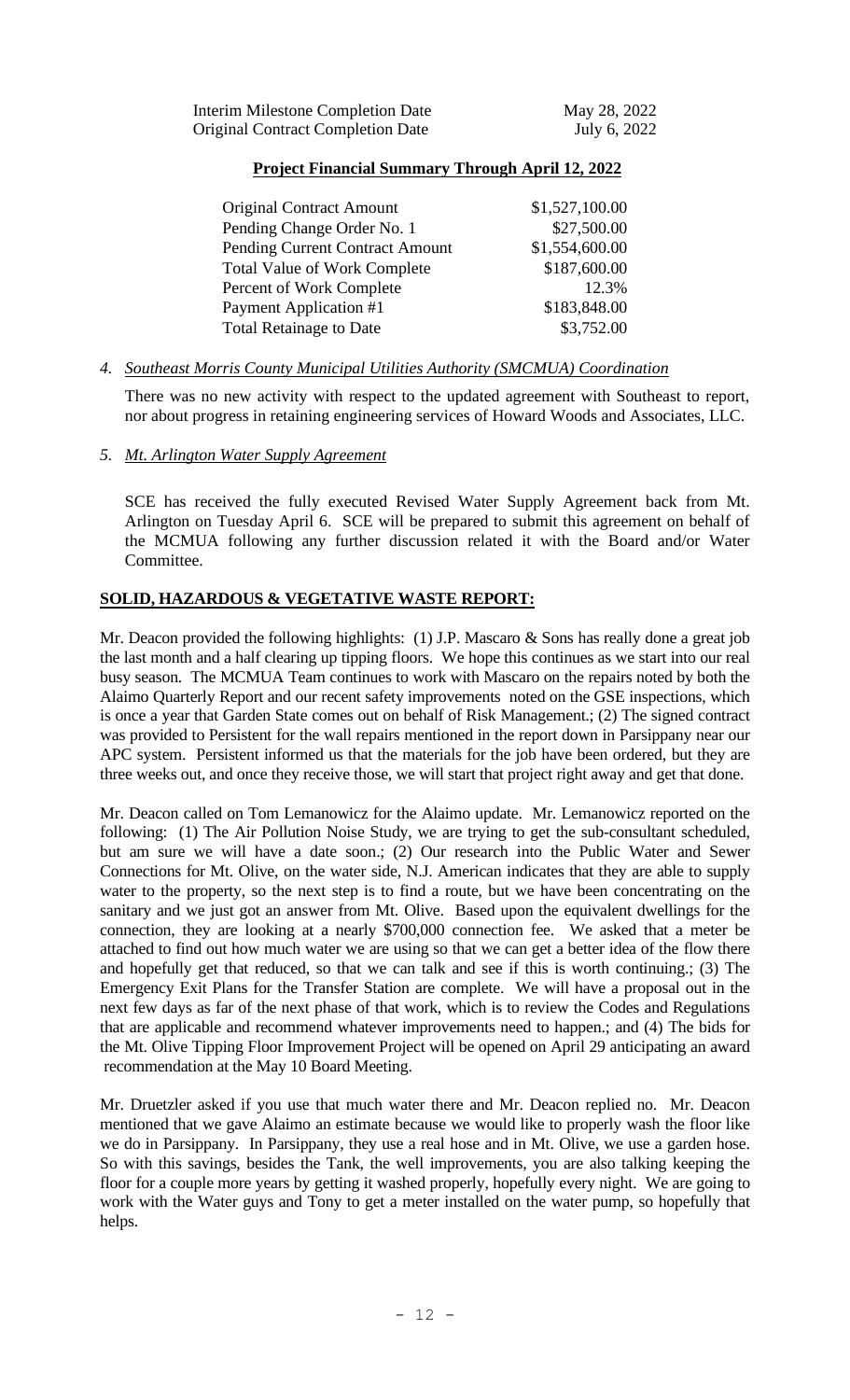## **Project Financial Summary Through April 12, 2022**

| <b>Original Contract Amount</b>        | \$1,527,100.00 |
|----------------------------------------|----------------|
| Pending Change Order No. 1             | \$27,500.00    |
| <b>Pending Current Contract Amount</b> | \$1,554,600.00 |
| <b>Total Value of Work Complete</b>    | \$187,600.00   |
| Percent of Work Complete               | 12.3%          |
| Payment Application #1                 | \$183,848.00   |
| <b>Total Retainage to Date</b>         | \$3,752.00     |

## *4. Southeast Morris County Municipal Utilities Authority (SMCMUA) Coordination*

There was no new activity with respect to the updated agreement with Southeast to report, nor about progress in retaining engineering services of Howard Woods and Associates, LLC.

## *5. Mt. Arlington Water Supply Agreement*

SCE has received the fully executed Revised Water Supply Agreement back from Mt. Arlington on Tuesday April 6. SCE will be prepared to submit this agreement on behalf of the MCMUA following any further discussion related it with the Board and/or Water Committee.

## **SOLID, HAZARDOUS & VEGETATIVE WASTE REPORT:**

Mr. Deacon provided the following highlights: (1) J.P. Mascaro & Sons has really done a great job the last month and a half clearing up tipping floors. We hope this continues as we start into our real busy season. The MCMUA Team continues to work with Mascaro on the repairs noted by both the Alaimo Quarterly Report and our recent safety improvements noted on the GSE inspections, which is once a year that Garden State comes out on behalf of Risk Management.; (2) The signed contract was provided to Persistent for the wall repairs mentioned in the report down in Parsippany near our APC system. Persistent informed us that the materials for the job have been ordered, but they are three weeks out, and once they receive those, we will start that project right away and get that done.

Mr. Deacon called on Tom Lemanowicz for the Alaimo update. Mr. Lemanowicz reported on the following: (1) The Air Pollution Noise Study, we are trying to get the sub-consultant scheduled, but am sure we will have a date soon.; (2) Our research into the Public Water and Sewer Connections for Mt. Olive, on the water side, N.J. American indicates that they are able to supply water to the property, so the next step is to find a route, but we have been concentrating on the sanitary and we just got an answer from Mt. Olive. Based upon the equivalent dwellings for the connection, they are looking at a nearly \$700,000 connection fee. We asked that a meter be attached to find out how much water we are using so that we can get a better idea of the flow there and hopefully get that reduced, so that we can talk and see if this is worth continuing.; (3) The Emergency Exit Plans for the Transfer Station are complete. We will have a proposal out in the next few days as far of the next phase of that work, which is to review the Codes and Regulations that are applicable and recommend whatever improvements need to happen.; and (4) The bids for the Mt. Olive Tipping Floor Improvement Project will be opened on April 29 anticipating an award recommendation at the May 10 Board Meeting.

Mr. Druetzler asked if you use that much water there and Mr. Deacon replied no. Mr. Deacon mentioned that we gave Alaimo an estimate because we would like to properly wash the floor like we do in Parsippany. In Parsippany, they use a real hose and in Mt. Olive, we use a garden hose. So with this savings, besides the Tank, the well improvements, you are also talking keeping the floor for a couple more years by getting it washed properly, hopefully every night. We are going to work with the Water guys and Tony to get a meter installed on the water pump, so hopefully that helps.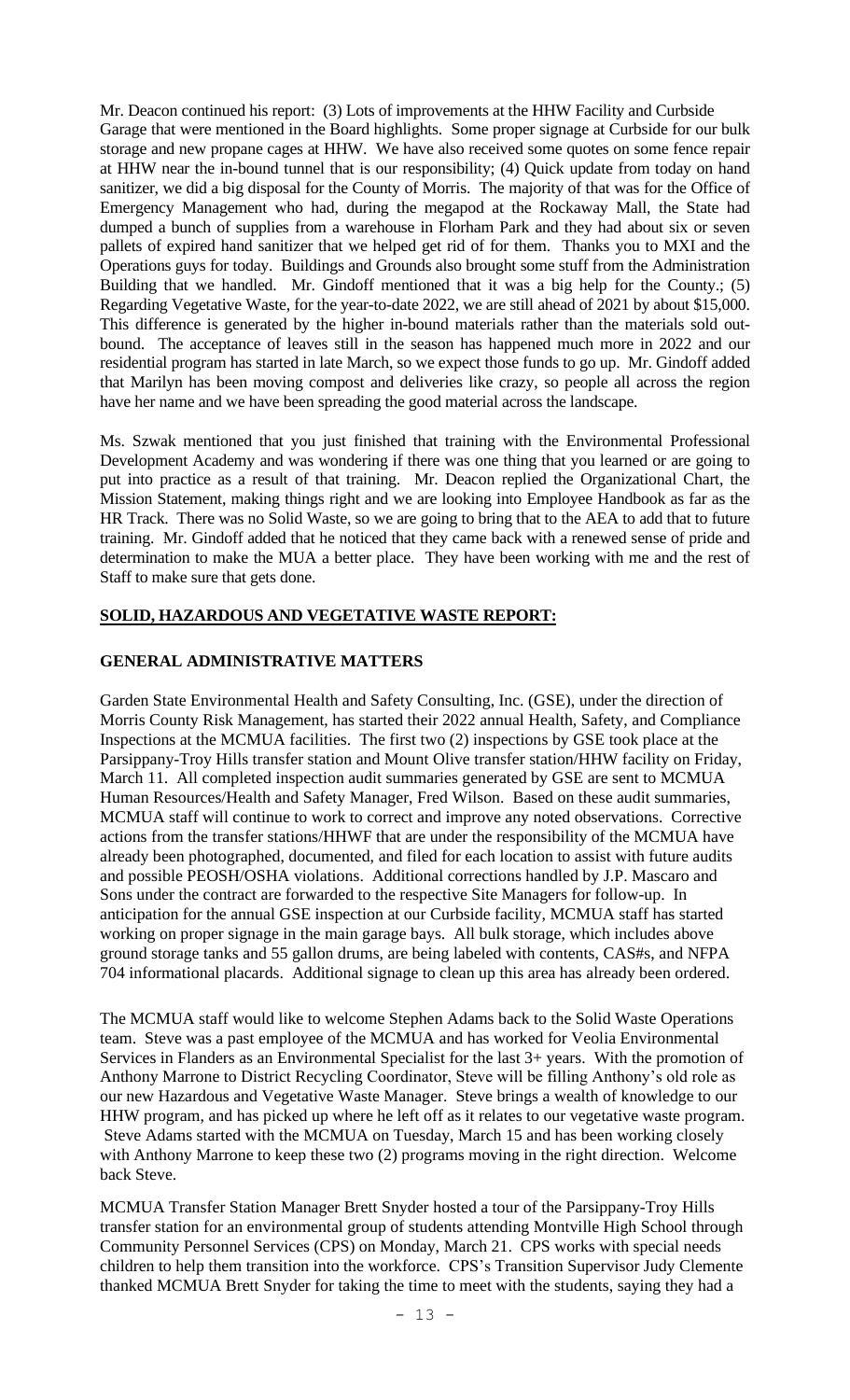Mr. Deacon continued his report: (3) Lots of improvements at the HHW Facility and Curbside Garage that were mentioned in the Board highlights. Some proper signage at Curbside for our bulk storage and new propane cages at HHW. We have also received some quotes on some fence repair at HHW near the in-bound tunnel that is our responsibility; (4) Quick update from today on hand sanitizer, we did a big disposal for the County of Morris. The majority of that was for the Office of Emergency Management who had, during the megapod at the Rockaway Mall, the State had dumped a bunch of supplies from a warehouse in Florham Park and they had about six or seven pallets of expired hand sanitizer that we helped get rid of for them. Thanks you to MXI and the Operations guys for today. Buildings and Grounds also brought some stuff from the Administration Building that we handled. Mr. Gindoff mentioned that it was a big help for the County.; (5) Regarding Vegetative Waste, for the year-to-date 2022, we are still ahead of 2021 by about \$15,000. This difference is generated by the higher in-bound materials rather than the materials sold outbound. The acceptance of leaves still in the season has happened much more in 2022 and our residential program has started in late March, so we expect those funds to go up. Mr. Gindoff added that Marilyn has been moving compost and deliveries like crazy, so people all across the region have her name and we have been spreading the good material across the landscape.

Ms. Szwak mentioned that you just finished that training with the Environmental Professional Development Academy and was wondering if there was one thing that you learned or are going to put into practice as a result of that training. Mr. Deacon replied the Organizational Chart, the Mission Statement, making things right and we are looking into Employee Handbook as far as the HR Track. There was no Solid Waste, so we are going to bring that to the AEA to add that to future training. Mr. Gindoff added that he noticed that they came back with a renewed sense of pride and determination to make the MUA a better place. They have been working with me and the rest of Staff to make sure that gets done.

## **SOLID, HAZARDOUS AND VEGETATIVE WASTE REPORT:**

## **GENERAL ADMINISTRATIVE MATTERS**

Garden State Environmental Health and Safety Consulting, Inc. (GSE), under the direction of Morris County Risk Management, has started their 2022 annual Health, Safety, and Compliance Inspections at the MCMUA facilities. The first two (2) inspections by GSE took place at the Parsippany-Troy Hills transfer station and Mount Olive transfer station/HHW facility on Friday, March 11. All completed inspection audit summaries generated by GSE are sent to MCMUA Human Resources/Health and Safety Manager, Fred Wilson. Based on these audit summaries, MCMUA staff will continue to work to correct and improve any noted observations. Corrective actions from the transfer stations/HHWF that are under the responsibility of the MCMUA have already been photographed, documented, and filed for each location to assist with future audits and possible PEOSH/OSHA violations. Additional corrections handled by J.P. Mascaro and Sons under the contract are forwarded to the respective Site Managers for follow-up. In anticipation for the annual GSE inspection at our Curbside facility, MCMUA staff has started working on proper signage in the main garage bays. All bulk storage, which includes above ground storage tanks and 55 gallon drums, are being labeled with contents, CAS#s, and NFPA 704 informational placards. Additional signage to clean up this area has already been ordered.

The MCMUA staff would like to welcome Stephen Adams back to the Solid Waste Operations team. Steve was a past employee of the MCMUA and has worked for Veolia Environmental Services in Flanders as an Environmental Specialist for the last 3+ years. With the promotion of Anthony Marrone to District Recycling Coordinator, Steve will be filling Anthony's old role as our new Hazardous and Vegetative Waste Manager. Steve brings a wealth of knowledge to our HHW program, and has picked up where he left off as it relates to our vegetative waste program. Steve Adams started with the MCMUA on Tuesday, March 15 and has been working closely with Anthony Marrone to keep these two (2) programs moving in the right direction. Welcome back Steve.

MCMUA Transfer Station Manager Brett Snyder hosted a tour of the Parsippany-Troy Hills transfer station for an environmental group of students attending Montville High School through Community Personnel Services (CPS) on Monday, March 21. CPS works with special needs children to help them transition into the workforce. CPS's Transition Supervisor Judy Clemente thanked MCMUA Brett Snyder for taking the time to meet with the students, saying they had a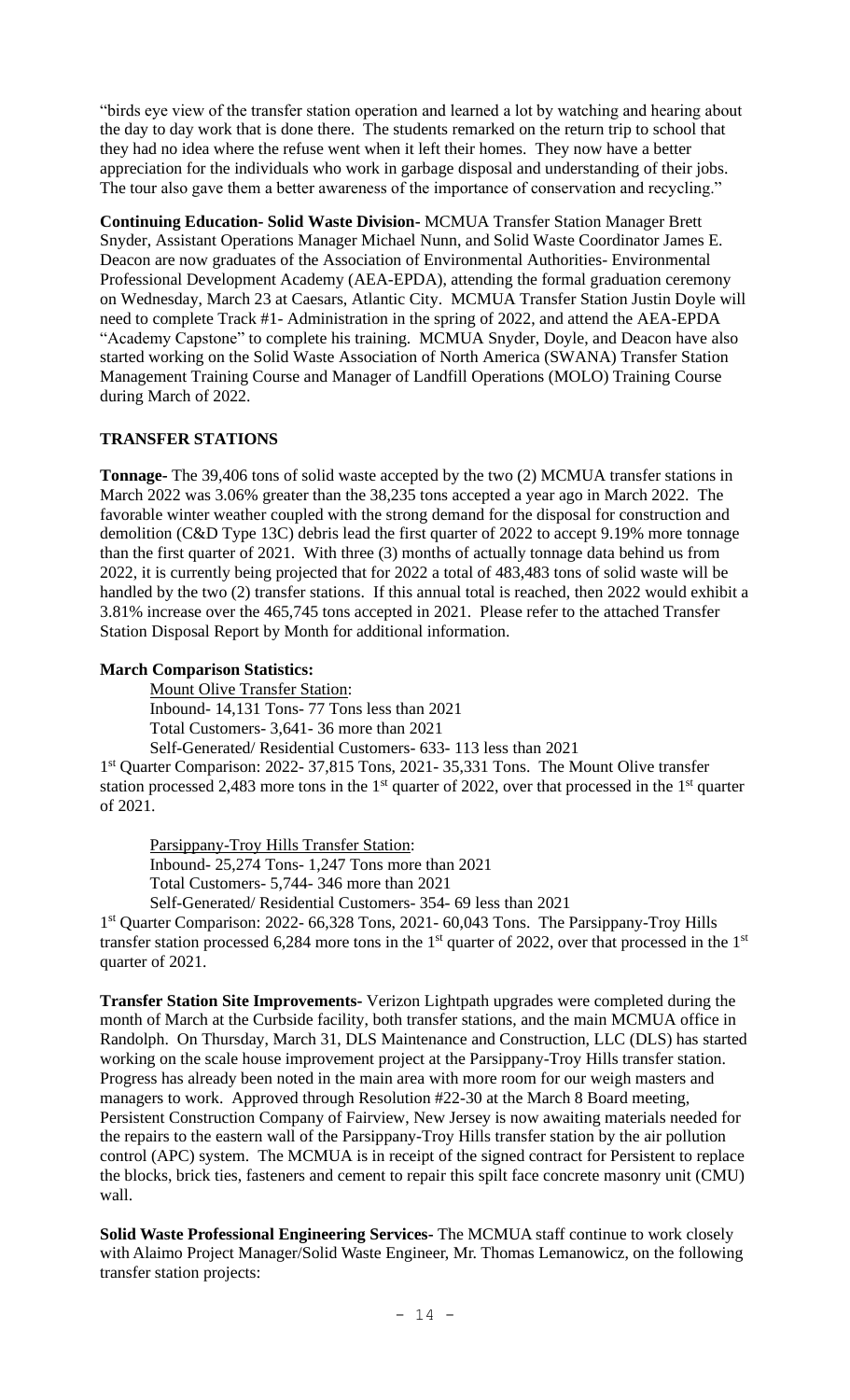"birds eye view of the transfer station operation and learned a lot by watching and hearing about the day to day work that is done there. The students remarked on the return trip to school that they had no idea where the refuse went when it left their homes. They now have a better appreciation for the individuals who work in garbage disposal and understanding of their jobs. The tour also gave them a better awareness of the importance of conservation and recycling."

**Continuing Education- Solid Waste Division-** MCMUA Transfer Station Manager Brett Snyder, Assistant Operations Manager Michael Nunn, and Solid Waste Coordinator James E. Deacon are now graduates of the Association of Environmental Authorities- Environmental Professional Development Academy (AEA-EPDA), attending the formal graduation ceremony on Wednesday, March 23 at Caesars, Atlantic City. MCMUA Transfer Station Justin Doyle will need to complete Track #1- Administration in the spring of 2022, and attend the AEA-EPDA "Academy Capstone" to complete his training. MCMUA Snyder, Doyle, and Deacon have also started working on the Solid Waste Association of North America (SWANA) Transfer Station Management Training Course and Manager of Landfill Operations (MOLO) Training Course during March of 2022.

## **TRANSFER STATIONS**

**Tonnage-** The 39,406 tons of solid waste accepted by the two (2) MCMUA transfer stations in March 2022 was 3.06% greater than the 38,235 tons accepted a year ago in March 2022. The favorable winter weather coupled with the strong demand for the disposal for construction and demolition (C&D Type 13C) debris lead the first quarter of 2022 to accept 9.19% more tonnage than the first quarter of 2021. With three (3) months of actually tonnage data behind us from 2022, it is currently being projected that for 2022 a total of 483,483 tons of solid waste will be handled by the two (2) transfer stations. If this annual total is reached, then 2022 would exhibit a 3.81% increase over the 465,745 tons accepted in 2021. Please refer to the attached Transfer Station Disposal Report by Month for additional information.

#### **March Comparison Statistics:**

Mount Olive Transfer Station:

Inbound- 14,131 Tons- 77 Tons less than 2021

Total Customers- 3,641- 36 more than 2021

Self-Generated/ Residential Customers- 633- 113 less than 2021

1<sup>st</sup> Quarter Comparison: 2022- 37,815 Tons, 2021- 35,331 Tons. The Mount Olive transfer station processed 2,483 more tons in the 1<sup>st</sup> quarter of 2022, over that processed in the 1<sup>st</sup> quarter of 2021.

Parsippany-Troy Hills Transfer Station:

 Inbound- 25,274 Tons- 1,247 Tons more than 2021 Total Customers- 5,744- 346 more than 2021

Self-Generated/ Residential Customers- 354- 69 less than 2021

1<sup>st</sup> Quarter Comparison: 2022- 66,328 Tons, 2021- 60,043 Tons. The Parsippany-Troy Hills transfer station processed 6,284 more tons in the  $1<sup>st</sup>$  quarter of 2022, over that processed in the  $1<sup>st</sup>$ quarter of 2021.

**Transfer Station Site Improvements-** Verizon Lightpath upgrades were completed during the month of March at the Curbside facility, both transfer stations, and the main MCMUA office in Randolph. On Thursday, March 31, DLS Maintenance and Construction, LLC (DLS) has started working on the scale house improvement project at the Parsippany-Troy Hills transfer station. Progress has already been noted in the main area with more room for our weigh masters and managers to work. Approved through Resolution #22-30 at the March 8 Board meeting, Persistent Construction Company of Fairview, New Jersey is now awaiting materials needed for the repairs to the eastern wall of the Parsippany-Troy Hills transfer station by the air pollution control (APC) system. The MCMUA is in receipt of the signed contract for Persistent to replace the blocks, brick ties, fasteners and cement to repair this spilt face concrete masonry unit (CMU) wall.

**Solid Waste Professional Engineering Services-** The MCMUA staff continue to work closely with Alaimo Project Manager/Solid Waste Engineer, Mr. Thomas Lemanowicz, on the following transfer station projects: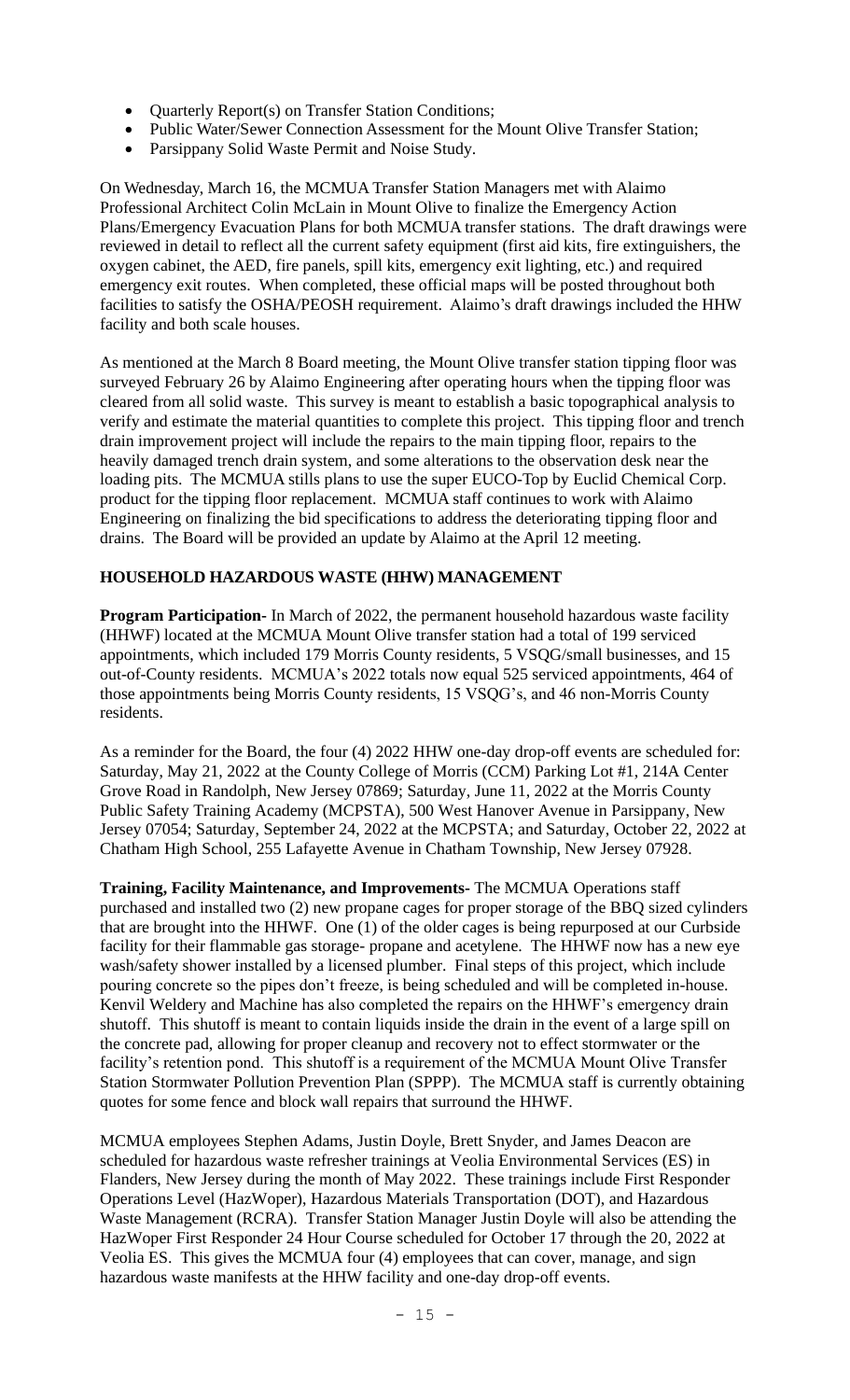- Quarterly Report(s) on Transfer Station Conditions;
- Public Water/Sewer Connection Assessment for the Mount Olive Transfer Station;
- Parsippany Solid Waste Permit and Noise Study.

On Wednesday, March 16, the MCMUA Transfer Station Managers met with Alaimo Professional Architect Colin McLain in Mount Olive to finalize the Emergency Action Plans/Emergency Evacuation Plans for both MCMUA transfer stations. The draft drawings were reviewed in detail to reflect all the current safety equipment (first aid kits, fire extinguishers, the oxygen cabinet, the AED, fire panels, spill kits, emergency exit lighting, etc.) and required emergency exit routes. When completed, these official maps will be posted throughout both facilities to satisfy the OSHA/PEOSH requirement. Alaimo's draft drawings included the HHW facility and both scale houses.

As mentioned at the March 8 Board meeting, the Mount Olive transfer station tipping floor was surveyed February 26 by Alaimo Engineering after operating hours when the tipping floor was cleared from all solid waste. This survey is meant to establish a basic topographical analysis to verify and estimate the material quantities to complete this project. This tipping floor and trench drain improvement project will include the repairs to the main tipping floor, repairs to the heavily damaged trench drain system, and some alterations to the observation desk near the loading pits. The MCMUA stills plans to use the super EUCO-Top by Euclid Chemical Corp. product for the tipping floor replacement. MCMUA staff continues to work with Alaimo Engineering on finalizing the bid specifications to address the deteriorating tipping floor and drains. The Board will be provided an update by Alaimo at the April 12 meeting.

# **HOUSEHOLD HAZARDOUS WASTE (HHW) MANAGEMENT**

**Program Participation-** In March of 2022, the permanent household hazardous waste facility (HHWF) located at the MCMUA Mount Olive transfer station had a total of 199 serviced appointments, which included 179 Morris County residents, 5 VSQG/small businesses, and 15 out-of-County residents. MCMUA's 2022 totals now equal 525 serviced appointments, 464 of those appointments being Morris County residents, 15 VSQG's, and 46 non-Morris County residents.

As a reminder for the Board, the four (4) 2022 HHW one-day drop-off events are scheduled for: Saturday, May 21, 2022 at the County College of Morris (CCM) Parking Lot #1, 214A Center Grove Road in Randolph, New Jersey 07869; Saturday, June 11, 2022 at the Morris County Public Safety Training Academy (MCPSTA), 500 West Hanover Avenue in Parsippany, New Jersey 07054; Saturday, September 24, 2022 at the MCPSTA; and Saturday, October 22, 2022 at Chatham High School, 255 Lafayette Avenue in Chatham Township, New Jersey 07928.

**Training, Facility Maintenance, and Improvements-** The MCMUA Operations staff purchased and installed two (2) new propane cages for proper storage of the BBQ sized cylinders that are brought into the HHWF. One (1) of the older cages is being repurposed at our Curbside facility for their flammable gas storage- propane and acetylene. The HHWF now has a new eye wash/safety shower installed by a licensed plumber. Final steps of this project, which include pouring concrete so the pipes don't freeze, is being scheduled and will be completed in-house. Kenvil Weldery and Machine has also completed the repairs on the HHWF's emergency drain shutoff. This shutoff is meant to contain liquids inside the drain in the event of a large spill on the concrete pad, allowing for proper cleanup and recovery not to effect stormwater or the facility's retention pond. This shutoff is a requirement of the MCMUA Mount Olive Transfer Station Stormwater Pollution Prevention Plan (SPPP). The MCMUA staff is currently obtaining quotes for some fence and block wall repairs that surround the HHWF.

MCMUA employees Stephen Adams, Justin Doyle, Brett Snyder, and James Deacon are scheduled for hazardous waste refresher trainings at Veolia Environmental Services (ES) in Flanders, New Jersey during the month of May 2022. These trainings include First Responder Operations Level (HazWoper), Hazardous Materials Transportation (DOT), and Hazardous Waste Management (RCRA). Transfer Station Manager Justin Doyle will also be attending the HazWoper First Responder 24 Hour Course scheduled for October 17 through the 20, 2022 at Veolia ES. This gives the MCMUA four (4) employees that can cover, manage, and sign hazardous waste manifests at the HHW facility and one-day drop-off events.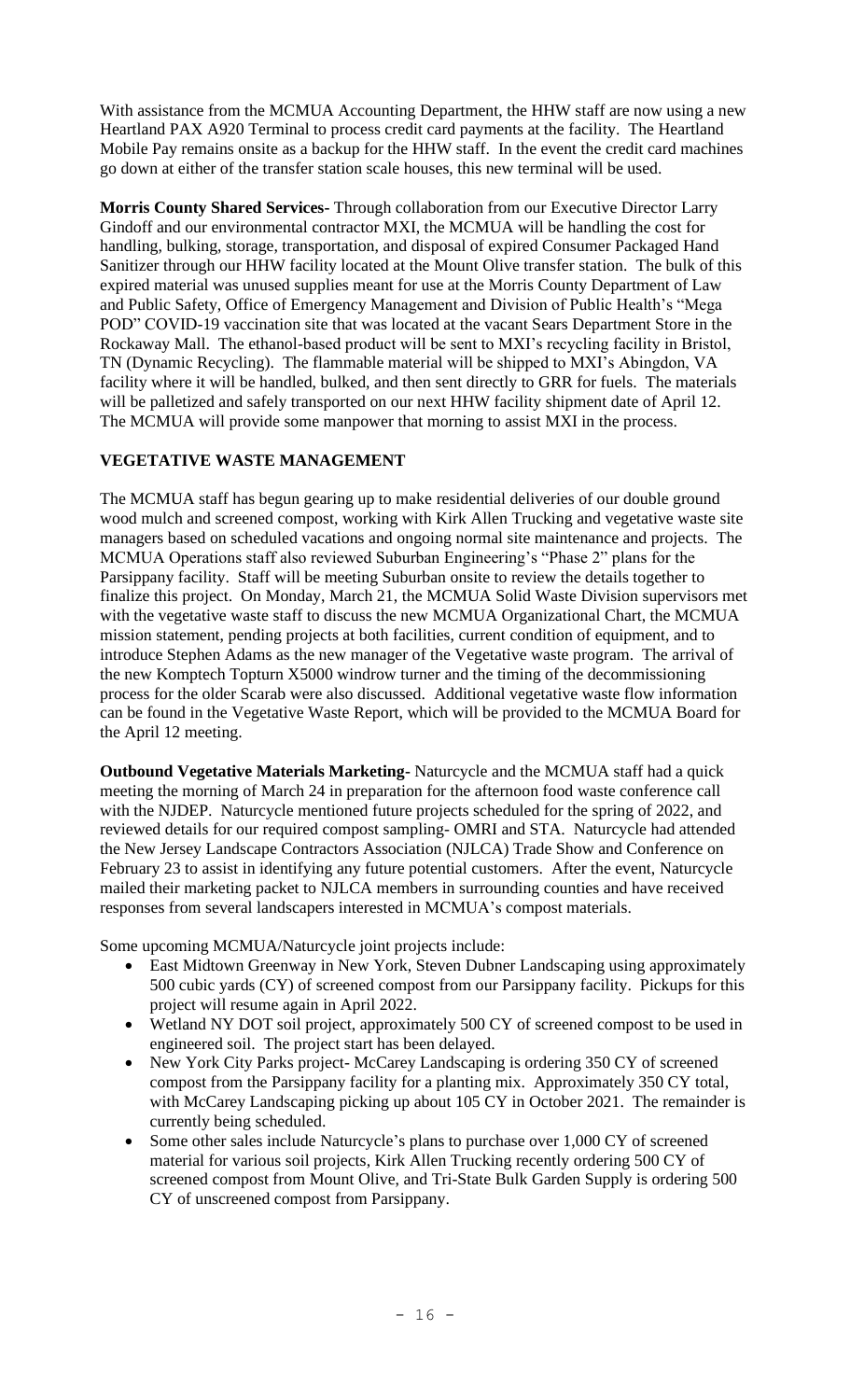With assistance from the MCMUA Accounting Department, the HHW staff are now using a new Heartland PAX A920 Terminal to process credit card payments at the facility. The Heartland Mobile Pay remains onsite as a backup for the HHW staff. In the event the credit card machines go down at either of the transfer station scale houses, this new terminal will be used.

**Morris County Shared Services-** Through collaboration from our Executive Director Larry Gindoff and our environmental contractor MXI, the MCMUA will be handling the cost for handling, bulking, storage, transportation, and disposal of expired Consumer Packaged Hand Sanitizer through our HHW facility located at the Mount Olive transfer station. The bulk of this expired material was unused supplies meant for use at the Morris County Department of Law and Public Safety, Office of Emergency Management and Division of Public Health's "Mega POD" COVID-19 vaccination site that was located at the vacant Sears Department Store in the Rockaway Mall. The ethanol-based product will be sent to MXI's recycling facility in Bristol, TN (Dynamic Recycling). The flammable material will be shipped to MXI's Abingdon, VA facility where it will be handled, bulked, and then sent directly to GRR for fuels. The materials will be palletized and safely transported on our next HHW facility shipment date of April 12. The MCMUA will provide some manpower that morning to assist MXI in the process.

# **VEGETATIVE WASTE MANAGEMENT**

The MCMUA staff has begun gearing up to make residential deliveries of our double ground wood mulch and screened compost, working with Kirk Allen Trucking and vegetative waste site managers based on scheduled vacations and ongoing normal site maintenance and projects. The MCMUA Operations staff also reviewed Suburban Engineering's "Phase 2" plans for the Parsippany facility. Staff will be meeting Suburban onsite to review the details together to finalize this project. On Monday, March 21, the MCMUA Solid Waste Division supervisors met with the vegetative waste staff to discuss the new MCMUA Organizational Chart, the MCMUA mission statement, pending projects at both facilities, current condition of equipment, and to introduce Stephen Adams as the new manager of the Vegetative waste program. The arrival of the new Komptech Topturn X5000 windrow turner and the timing of the decommissioning process for the older Scarab were also discussed. Additional vegetative waste flow information can be found in the Vegetative Waste Report, which will be provided to the MCMUA Board for the April 12 meeting.

**Outbound Vegetative Materials Marketing-** Naturcycle and the MCMUA staff had a quick meeting the morning of March 24 in preparation for the afternoon food waste conference call with the NJDEP. Naturcycle mentioned future projects scheduled for the spring of 2022, and reviewed details for our required compost sampling- OMRI and STA. Naturcycle had attended the New Jersey Landscape Contractors Association (NJLCA) Trade Show and Conference on February 23 to assist in identifying any future potential customers. After the event, Naturcycle mailed their marketing packet to NJLCA members in surrounding counties and have received responses from several landscapers interested in MCMUA's compost materials.

Some upcoming MCMUA/Naturcycle joint projects include:

- East Midtown Greenway in New York, Steven Dubner Landscaping using approximately 500 cubic yards (CY) of screened compost from our Parsippany facility. Pickups for this project will resume again in April 2022.
- Wetland NY DOT soil project, approximately 500 CY of screened compost to be used in engineered soil. The project start has been delayed.
- New York City Parks project- McCarey Landscaping is ordering 350 CY of screened compost from the Parsippany facility for a planting mix. Approximately 350 CY total, with McCarey Landscaping picking up about 105 CY in October 2021. The remainder is currently being scheduled.
- Some other sales include Naturcycle's plans to purchase over 1,000 CY of screened material for various soil projects, Kirk Allen Trucking recently ordering 500 CY of screened compost from Mount Olive, and Tri-State Bulk Garden Supply is ordering 500 CY of unscreened compost from Parsippany.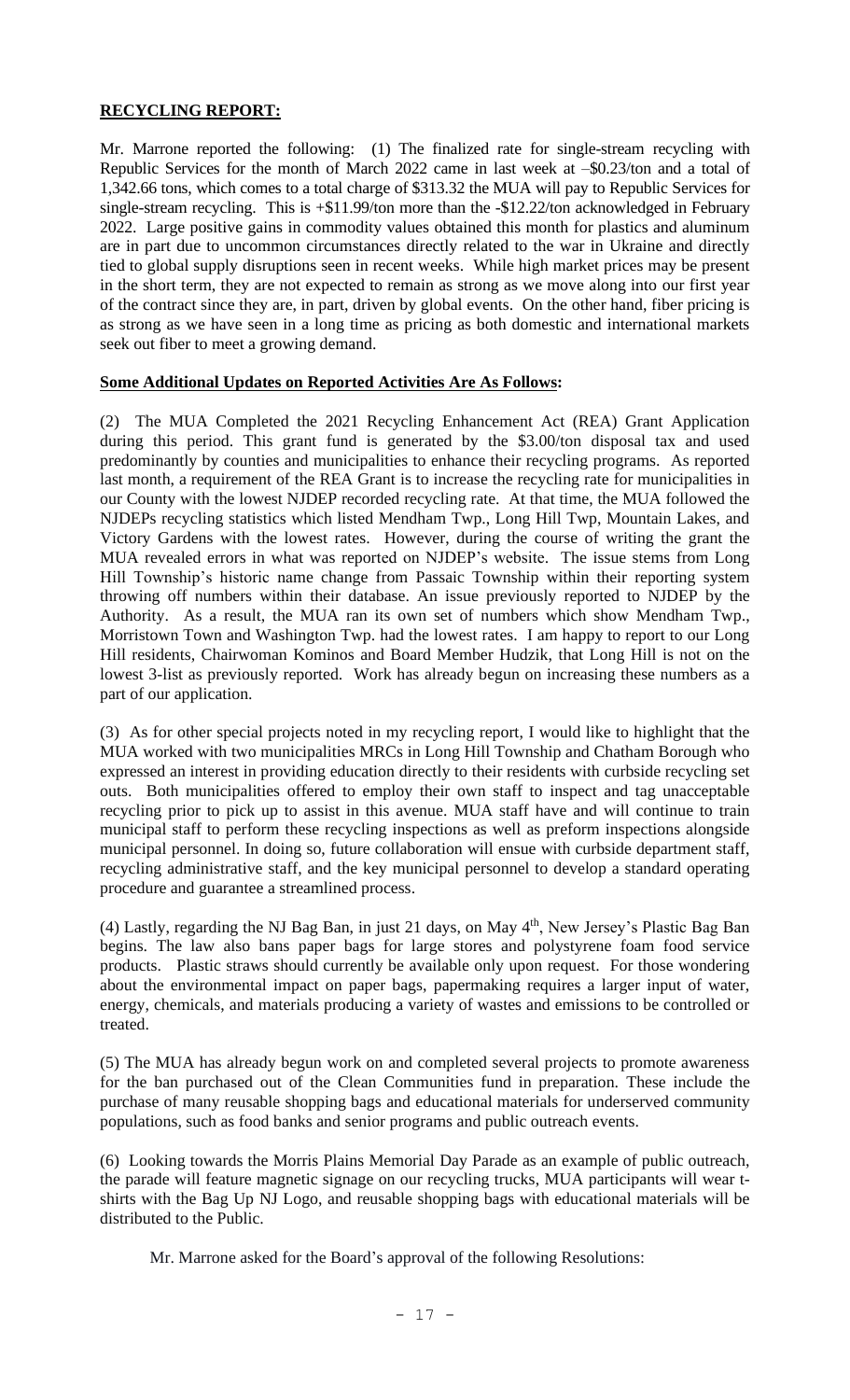# **RECYCLING REPORT:**

Mr. Marrone reported the following: (1) The finalized rate for single-stream recycling with Republic Services for the month of March 2022 came in last week at –\$0.23/ton and a total of 1,342.66 tons, which comes to a total charge of \$313.32 the MUA will pay to Republic Services for single-stream recycling. This is +\$11.99/ton more than the -\$12.22/ton acknowledged in February 2022. Large positive gains in commodity values obtained this month for plastics and aluminum are in part due to uncommon circumstances directly related to the war in Ukraine and directly tied to global supply disruptions seen in recent weeks. While high market prices may be present in the short term, they are not expected to remain as strong as we move along into our first year of the contract since they are, in part, driven by global events. On the other hand, fiber pricing is as strong as we have seen in a long time as pricing as both domestic and international markets seek out fiber to meet a growing demand.

## **Some Additional Updates on Reported Activities Are As Follows:**

(2) The MUA Completed the 2021 Recycling Enhancement Act (REA) Grant Application during this period. This grant fund is generated by the \$3.00/ton disposal tax and used predominantly by counties and municipalities to enhance their recycling programs. As reported last month, a requirement of the REA Grant is to increase the recycling rate for municipalities in our County with the lowest NJDEP recorded recycling rate. At that time, the MUA followed the NJDEPs recycling statistics which listed Mendham Twp., Long Hill Twp, Mountain Lakes, and Victory Gardens with the lowest rates. However, during the course of writing the grant the MUA revealed errors in what was reported on NJDEP's website. The issue stems from Long Hill Township's historic name change from Passaic Township within their reporting system throwing off numbers within their database. An issue previously reported to NJDEP by the Authority. As a result, the MUA ran its own set of numbers which show Mendham Twp., Morristown Town and Washington Twp. had the lowest rates. I am happy to report to our Long Hill residents, Chairwoman Kominos and Board Member Hudzik, that Long Hill is not on the lowest 3-list as previously reported. Work has already begun on increasing these numbers as a part of our application.

(3) As for other special projects noted in my recycling report, I would like to highlight that the MUA worked with two municipalities MRCs in Long Hill Township and Chatham Borough who expressed an interest in providing education directly to their residents with curbside recycling set outs. Both municipalities offered to employ their own staff to inspect and tag unacceptable recycling prior to pick up to assist in this avenue. MUA staff have and will continue to train municipal staff to perform these recycling inspections as well as preform inspections alongside municipal personnel. In doing so, future collaboration will ensue with curbside department staff, recycling administrative staff, and the key municipal personnel to develop a standard operating procedure and guarantee a streamlined process.

(4) Lastly, regarding the NJ Bag Ban, in just 21 days, on May  $4<sup>th</sup>$ , New Jersey's Plastic Bag Ban begins. The law also bans paper bags for large stores and polystyrene foam food service products. Plastic straws should currently be available only upon request. For those wondering about the environmental impact on paper bags, papermaking requires a larger input of water, energy, chemicals, and materials producing a variety of wastes and emissions to be controlled or treated.

(5) The MUA has already begun work on and completed several projects to promote awareness for the ban purchased out of the Clean Communities fund in preparation. These include the purchase of many reusable shopping bags and educational materials for underserved community populations, such as food banks and senior programs and public outreach events.

(6) Looking towards the Morris Plains Memorial Day Parade as an example of public outreach, the parade will feature magnetic signage on our recycling trucks, MUA participants will wear tshirts with the Bag Up NJ Logo, and reusable shopping bags with educational materials will be distributed to the Public.

Mr. Marrone asked for the Board's approval of the following Resolutions: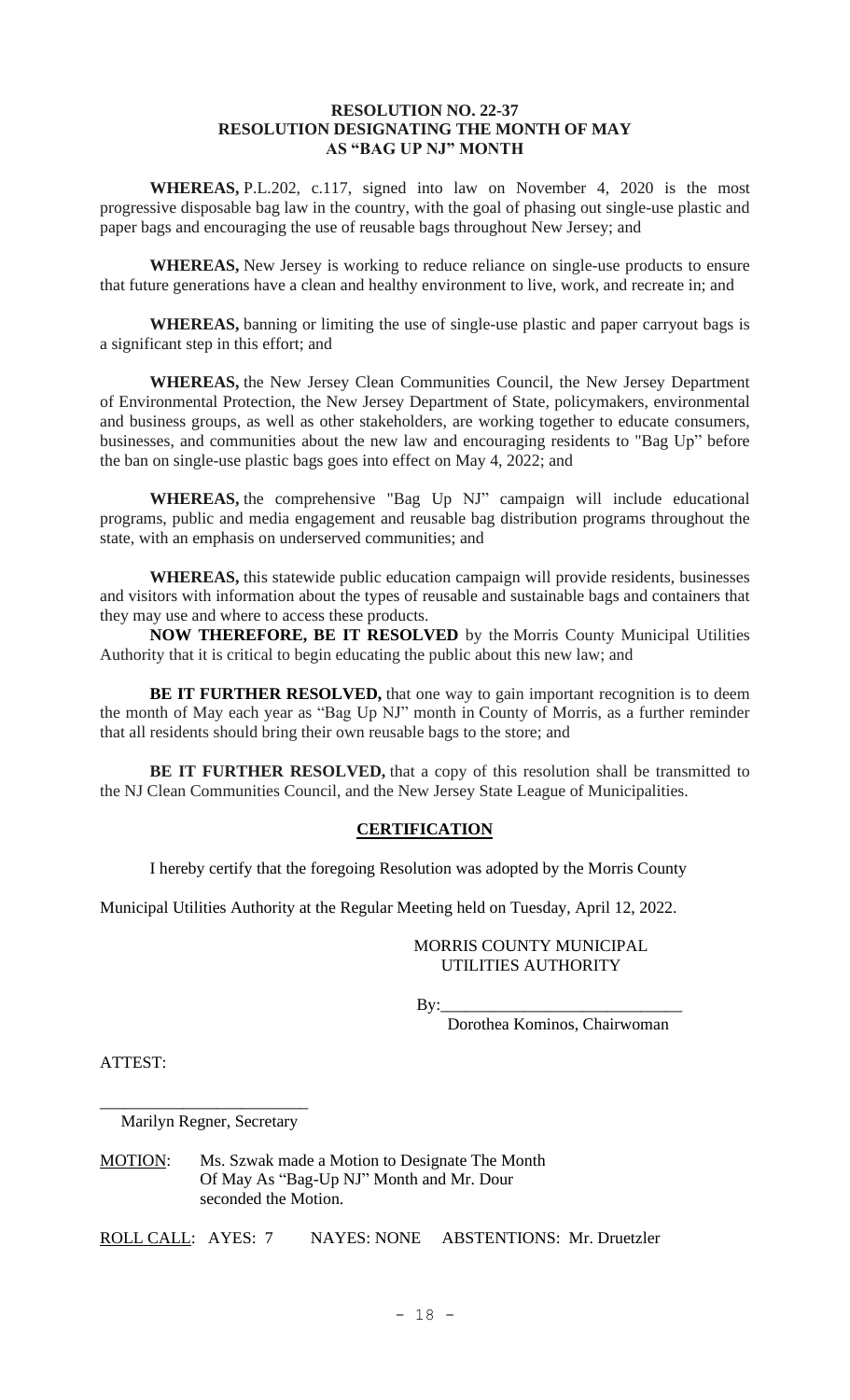## **RESOLUTION NO. 22-37 RESOLUTION DESIGNATING THE MONTH OF MAY AS "BAG UP NJ" MONTH**

**WHEREAS,** P.L.202, c.117, signed into law on November 4, 2020 is the most progressive disposable bag law in the country, with the goal of phasing out single-use plastic and paper bags and encouraging the use of reusable bags throughout New Jersey; and

**WHEREAS,** New Jersey is working to reduce reliance on single-use products to ensure that future generations have a clean and healthy environment to live, work, and recreate in; and

**WHEREAS,** banning or limiting the use of single-use plastic and paper carryout bags is a significant step in this effort; and

**WHEREAS,** the New Jersey Clean Communities Council, the New Jersey Department of Environmental Protection, the New Jersey Department of State, policymakers, environmental and business groups, as well as other stakeholders, are working together to educate consumers, businesses, and communities about the new law and encouraging residents to "Bag Up" before the ban on single-use plastic bags goes into effect on May 4, 2022; and

**WHEREAS,** the comprehensive "Bag Up NJ" campaign will include educational programs, public and media engagement and reusable bag distribution programs throughout the state, with an emphasis on underserved communities; and

**WHEREAS,** this statewide public education campaign will provide residents, businesses and visitors with information about the types of reusable and sustainable bags and containers that they may use and where to access these products.

**NOW THEREFORE, BE IT RESOLVED** by the Morris County Municipal Utilities Authority that it is critical to begin educating the public about this new law; and

**BE IT FURTHER RESOLVED,** that one way to gain important recognition is to deem the month of May each year as "Bag Up NJ" month in County of Morris, as a further reminder that all residents should bring their own reusable bags to the store; and

**BE IT FURTHER RESOLVED,** that a copy of this resolution shall be transmitted to the NJ Clean Communities Council, and the New Jersey State League of Municipalities.

## **CERTIFICATION**

I hereby certify that the foregoing Resolution was adopted by the Morris County

Municipal Utilities Authority at the Regular Meeting held on Tuesday, April 12, 2022.

#### MORRIS COUNTY MUNICIPAL UTILITIES AUTHORITY

By:\_\_\_\_\_\_\_\_\_\_\_\_\_\_\_\_\_\_\_\_\_\_\_\_\_\_\_\_\_

Dorothea Kominos, Chairwoman

ATTEST:

\_\_\_\_\_\_\_\_\_\_\_\_\_\_\_\_\_\_\_\_\_\_\_\_\_ Marilyn Regner, Secretary

MOTION: Ms. Szwak made a Motion to Designate The Month Of May As "Bag-Up NJ" Month and Mr. Dour seconded the Motion.

ROLL CALL: AYES: 7 NAYES: NONE ABSTENTIONS: Mr. Druetzler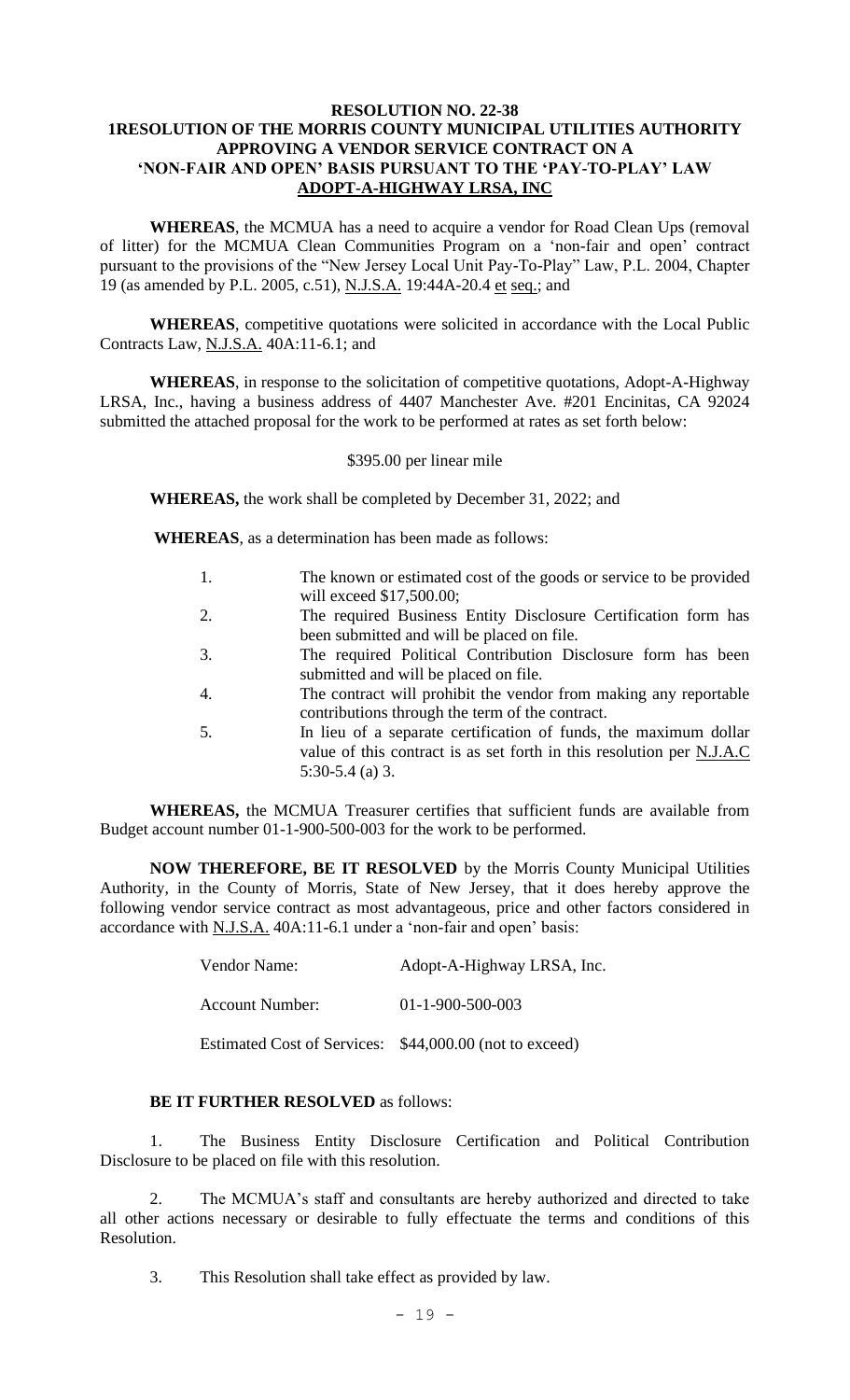## **RESOLUTION NO. 22-38 1RESOLUTION OF THE MORRIS COUNTY MUNICIPAL UTILITIES AUTHORITY APPROVING A VENDOR SERVICE CONTRACT ON A 'NON-FAIR AND OPEN' BASIS PURSUANT TO THE 'PAY-TO-PLAY' LAW ADOPT-A-HIGHWAY LRSA, INC**

**WHEREAS**, the MCMUA has a need to acquire a vendor for Road Clean Ups (removal of litter) for the MCMUA Clean Communities Program on a 'non-fair and open' contract pursuant to the provisions of the "New Jersey Local Unit Pay-To-Play" Law, P.L. 2004, Chapter 19 (as amended by P.L. 2005, c.51), N.J.S.A. 19:44A-20.4 et seq.; and

**WHEREAS**, competitive quotations were solicited in accordance with the Local Public Contracts Law, N.J.S.A. 40A:11-6.1; and

**WHEREAS**, in response to the solicitation of competitive quotations, Adopt-A-Highway LRSA, Inc., having a business address of 4407 Manchester Ave. #201 Encinitas, CA 92024 submitted the attached proposal for the work to be performed at rates as set forth below:

#### \$395.00 per linear mile

**WHEREAS,** the work shall be completed by December 31, 2022; and

**WHEREAS**, as a determination has been made as follows:

- 1. The known or estimated cost of the goods or service to be provided will exceed \$17,500.00;
- 2. The required Business Entity Disclosure Certification form has been submitted and will be placed on file.
- 3. The required Political Contribution Disclosure form has been submitted and will be placed on file.
- 4. The contract will prohibit the vendor from making any reportable contributions through the term of the contract.
- 5. In lieu of a separate certification of funds, the maximum dollar value of this contract is as set forth in this resolution per N.J.A.C 5:30-5.4 (a) 3.

**WHEREAS,** the MCMUA Treasurer certifies that sufficient funds are available from Budget account number 01-1-900-500-003 for the work to be performed.

**NOW THEREFORE, BE IT RESOLVED** by the Morris County Municipal Utilities Authority, in the County of Morris, State of New Jersey, that it does hereby approve the following vendor service contract as most advantageous, price and other factors considered in accordance with N.J.S.A. 40A:11-6.1 under a 'non-fair and open' basis:

| Vendor Name:                                            | Adopt-A-Highway LRSA, Inc. |
|---------------------------------------------------------|----------------------------|
| <b>Account Number:</b>                                  | $01 - 1 - 900 - 500 - 003$ |
| Estimated Cost of Services: \$44,000.00 (not to exceed) |                            |

## **BE IT FURTHER RESOLVED** as follows:

1. The Business Entity Disclosure Certification and Political Contribution Disclosure to be placed on file with this resolution.

2. The MCMUA's staff and consultants are hereby authorized and directed to take all other actions necessary or desirable to fully effectuate the terms and conditions of this Resolution.

3. This Resolution shall take effect as provided by law.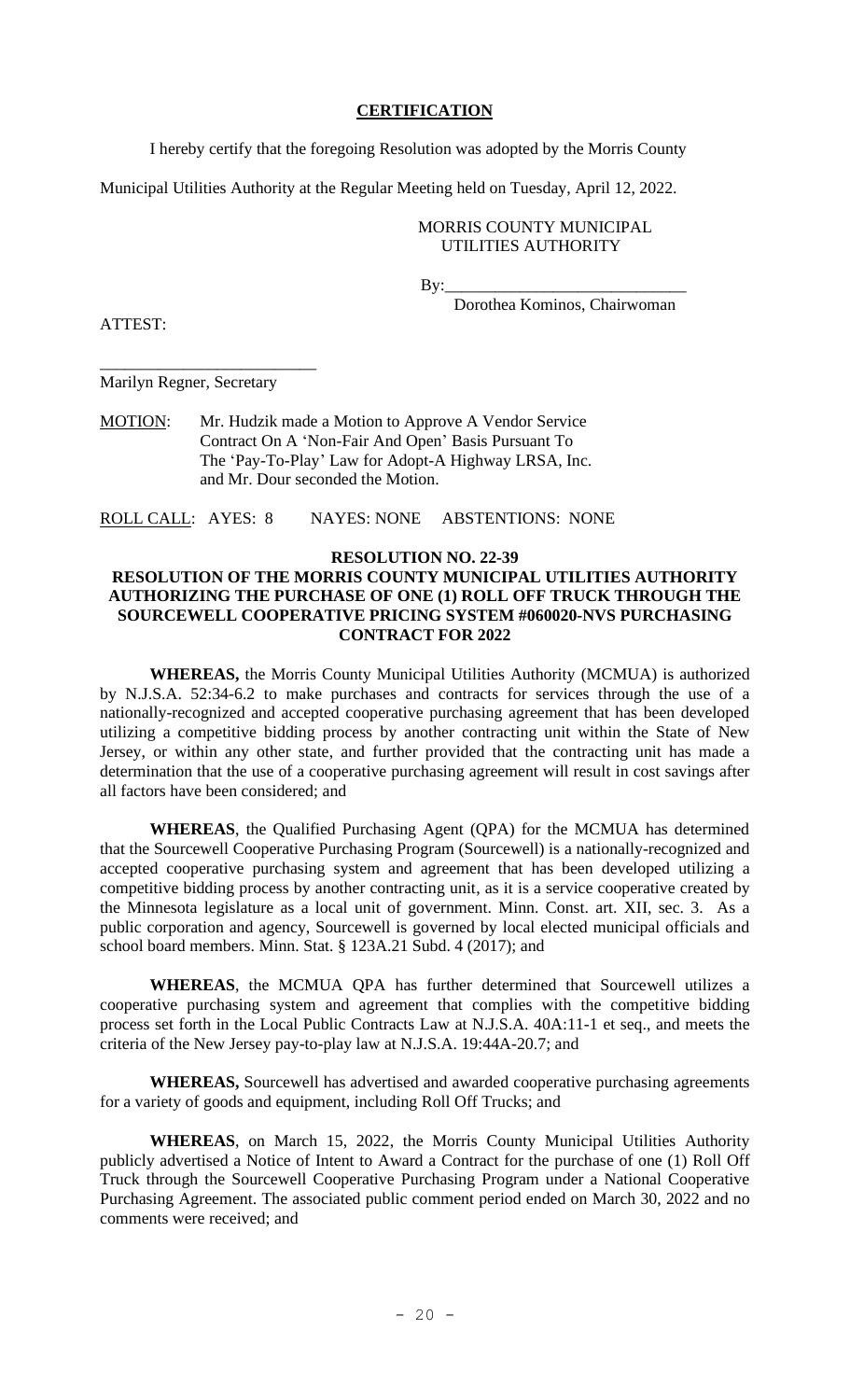## **CERTIFICATION**

I hereby certify that the foregoing Resolution was adopted by the Morris County

Municipal Utilities Authority at the Regular Meeting held on Tuesday, April 12, 2022.

#### MORRIS COUNTY MUNICIPAL UTILITIES AUTHORITY

By:\_\_\_\_\_\_\_\_\_\_\_\_\_\_\_\_\_\_\_\_\_\_\_\_\_\_\_\_\_

Dorothea Kominos, Chairwoman

ATTEST:

Marilyn Regner, Secretary

\_\_\_\_\_\_\_\_\_\_\_\_\_\_\_\_\_\_\_\_\_\_\_\_\_\_

MOTION: Mr. Hudzik made a Motion to Approve A Vendor Service Contract On A 'Non-Fair And Open' Basis Pursuant To The 'Pay-To-Play' Law for Adopt-A Highway LRSA, Inc. and Mr. Dour seconded the Motion.

ROLL CALL: AYES: 8 NAYES: NONE ABSTENTIONS: NONE

## **RESOLUTION NO. 22-39**

## **RESOLUTION OF THE MORRIS COUNTY MUNICIPAL UTILITIES AUTHORITY AUTHORIZING THE PURCHASE OF ONE (1) ROLL OFF TRUCK THROUGH THE SOURCEWELL COOPERATIVE PRICING SYSTEM #060020-NVS PURCHASING CONTRACT FOR 2022**

**WHEREAS,** the Morris County Municipal Utilities Authority (MCMUA) is authorized by N.J.S.A. 52:34-6.2 to make purchases and contracts for services through the use of a nationally-recognized and accepted cooperative purchasing agreement that has been developed utilizing a competitive bidding process by another contracting unit within the State of New Jersey, or within any other state, and further provided that the contracting unit has made a determination that the use of a cooperative purchasing agreement will result in cost savings after all factors have been considered; and

**WHEREAS**, the Qualified Purchasing Agent (QPA) for the MCMUA has determined that the Sourcewell Cooperative Purchasing Program (Sourcewell) is a nationally-recognized and accepted cooperative purchasing system and agreement that has been developed utilizing a competitive bidding process by another contracting unit, as it is a service cooperative created by the Minnesota legislature as a local unit of government. Minn. Const. art. XII, sec. 3. As a public corporation and agency, Sourcewell is governed by local elected municipal officials and school board members. Minn. Stat. § 123A.21 Subd. 4 (2017); and

**WHEREAS**, the MCMUA QPA has further determined that Sourcewell utilizes a cooperative purchasing system and agreement that complies with the competitive bidding process set forth in the Local Public Contracts Law at N.J.S.A. 40A:11-1 et seq., and meets the criteria of the New Jersey pay-to-play law at N.J.S.A. 19:44A-20.7; and

**WHEREAS,** Sourcewell has advertised and awarded cooperative purchasing agreements for a variety of goods and equipment, including Roll Off Trucks; and

**WHEREAS**, on March 15, 2022, the Morris County Municipal Utilities Authority publicly advertised a Notice of Intent to Award a Contract for the purchase of one (1) Roll Off Truck through the Sourcewell Cooperative Purchasing Program under a National Cooperative Purchasing Agreement. The associated public comment period ended on March 30, 2022 and no comments were received; and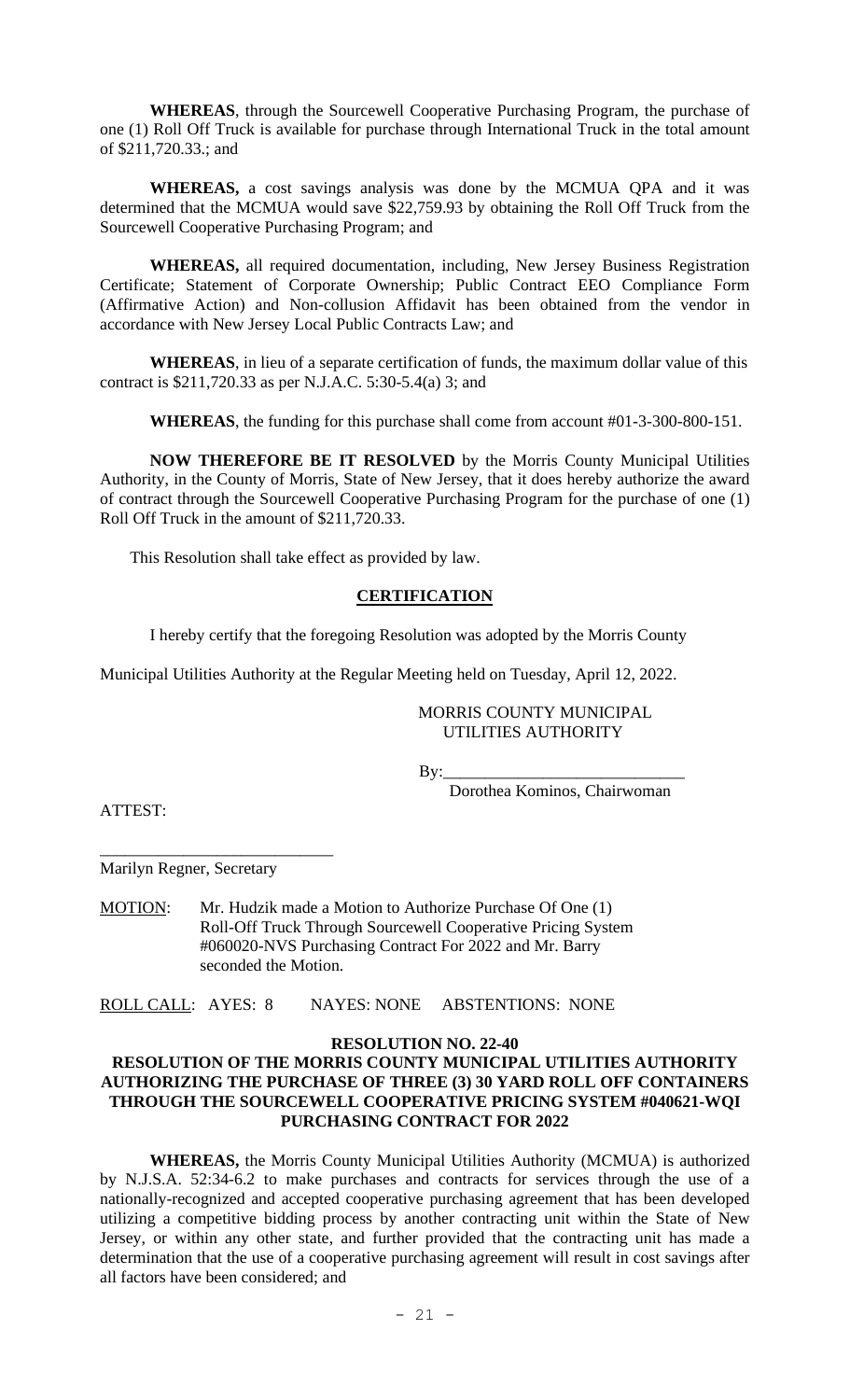**WHEREAS**, through the Sourcewell Cooperative Purchasing Program, the purchase of one (1) Roll Off Truck is available for purchase through International Truck in the total amount of \$211,720.33.; and

**WHEREAS,** a cost savings analysis was done by the MCMUA QPA and it was determined that the MCMUA would save \$22,759.93 by obtaining the Roll Off Truck from the Sourcewell Cooperative Purchasing Program; and

**WHEREAS,** all required documentation, including, New Jersey Business Registration Certificate; Statement of Corporate Ownership; Public Contract EEO Compliance Form (Affirmative Action) and Non-collusion Affidavit has been obtained from the vendor in accordance with New Jersey Local Public Contracts Law; and

**WHEREAS**, in lieu of a separate certification of funds, the maximum dollar value of this contract is \$211,720.33 as per N.J.A.C. 5:30-5.4(a) 3; and

**WHEREAS**, the funding for this purchase shall come from account #01-3-300-800-151.

**NOW THEREFORE BE IT RESOLVED** by the Morris County Municipal Utilities Authority, in the County of Morris, State of New Jersey, that it does hereby authorize the award of contract through the Sourcewell Cooperative Purchasing Program for the purchase of one (1) Roll Off Truck in the amount of \$211,720.33.

This Resolution shall take effect as provided by law.

## **CERTIFICATION**

I hereby certify that the foregoing Resolution was adopted by the Morris County

Municipal Utilities Authority at the Regular Meeting held on Tuesday, April 12, 2022.

#### MORRIS COUNTY MUNICIPAL UTILITIES AUTHORITY

By:\_\_\_\_\_\_\_\_\_\_\_\_\_\_\_\_\_\_\_\_\_\_\_\_\_\_\_\_\_

Dorothea Kominos, Chairwoman

ATTEST:

\_\_\_\_\_\_\_\_\_\_\_\_\_\_\_\_\_\_\_\_\_\_\_\_\_\_\_\_ Marilyn Regner, Secretary

MOTION: Mr. Hudzik made a Motion to Authorize Purchase Of One (1) Roll-Off Truck Through Sourcewell Cooperative Pricing System #060020-NVS Purchasing Contract For 2022 and Mr. Barry seconded the Motion.

ROLL CALL: AYES: 8 NAYES: NONE ABSTENTIONS: NONE

# **RESOLUTION NO. 22-40**

## **RESOLUTION OF THE MORRIS COUNTY MUNICIPAL UTILITIES AUTHORITY AUTHORIZING THE PURCHASE OF THREE (3) 30 YARD ROLL OFF CONTAINERS THROUGH THE SOURCEWELL COOPERATIVE PRICING SYSTEM #040621-WQI PURCHASING CONTRACT FOR 2022**

**WHEREAS,** the Morris County Municipal Utilities Authority (MCMUA) is authorized by N.J.S.A. 52:34-6.2 to make purchases and contracts for services through the use of a nationally-recognized and accepted cooperative purchasing agreement that has been developed utilizing a competitive bidding process by another contracting unit within the State of New Jersey, or within any other state, and further provided that the contracting unit has made a determination that the use of a cooperative purchasing agreement will result in cost savings after all factors have been considered; and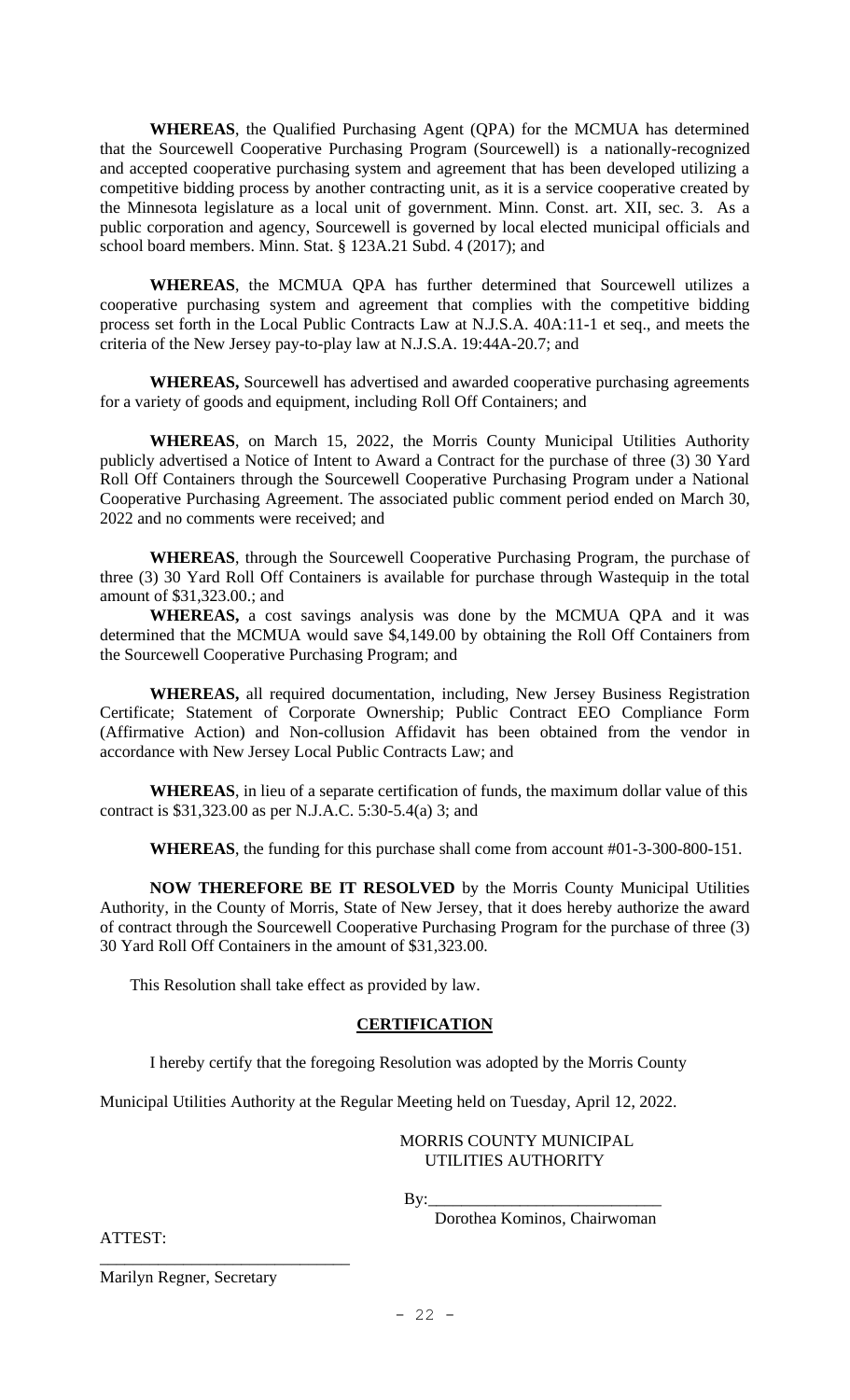**WHEREAS**, the Qualified Purchasing Agent (QPA) for the MCMUA has determined that the Sourcewell Cooperative Purchasing Program (Sourcewell) is a nationally-recognized and accepted cooperative purchasing system and agreement that has been developed utilizing a competitive bidding process by another contracting unit, as it is a service cooperative created by the Minnesota legislature as a local unit of government. Minn. Const. art. XII, sec. 3. As a public corporation and agency, Sourcewell is governed by local elected municipal officials and school board members. Minn. Stat. § 123A.21 Subd. 4 (2017); and

**WHEREAS**, the MCMUA QPA has further determined that Sourcewell utilizes a cooperative purchasing system and agreement that complies with the competitive bidding process set forth in the Local Public Contracts Law at N.J.S.A. 40A:11-1 et seq., and meets the criteria of the New Jersey pay-to-play law at N.J.S.A. 19:44A-20.7; and

**WHEREAS,** Sourcewell has advertised and awarded cooperative purchasing agreements for a variety of goods and equipment, including Roll Off Containers; and

**WHEREAS**, on March 15, 2022, the Morris County Municipal Utilities Authority publicly advertised a Notice of Intent to Award a Contract for the purchase of three (3) 30 Yard Roll Off Containers through the Sourcewell Cooperative Purchasing Program under a National Cooperative Purchasing Agreement. The associated public comment period ended on March 30, 2022 and no comments were received; and

**WHEREAS**, through the Sourcewell Cooperative Purchasing Program, the purchase of three (3) 30 Yard Roll Off Containers is available for purchase through Wastequip in the total amount of \$31,323.00.; and

**WHEREAS,** a cost savings analysis was done by the MCMUA QPA and it was determined that the MCMUA would save \$4,149.00 by obtaining the Roll Off Containers from the Sourcewell Cooperative Purchasing Program; and

**WHEREAS,** all required documentation, including, New Jersey Business Registration Certificate; Statement of Corporate Ownership; Public Contract EEO Compliance Form (Affirmative Action) and Non-collusion Affidavit has been obtained from the vendor in accordance with New Jersey Local Public Contracts Law; and

**WHEREAS**, in lieu of a separate certification of funds, the maximum dollar value of this contract is \$31,323.00 as per N.J.A.C. 5:30-5.4(a) 3; and

**WHEREAS**, the funding for this purchase shall come from account #01-3-300-800-151.

**NOW THEREFORE BE IT RESOLVED** by the Morris County Municipal Utilities Authority, in the County of Morris, State of New Jersey, that it does hereby authorize the award of contract through the Sourcewell Cooperative Purchasing Program for the purchase of three (3) 30 Yard Roll Off Containers in the amount of \$31,323.00.

This Resolution shall take effect as provided by law.

## **CERTIFICATION**

I hereby certify that the foregoing Resolution was adopted by the Morris County

Municipal Utilities Authority at the Regular Meeting held on Tuesday, April 12, 2022.

#### MORRIS COUNTY MUNICIPAL UTILITIES AUTHORITY

By:

Dorothea Kominos, Chairwoman

ATTEST:

Marilyn Regner, Secretary

\_\_\_\_\_\_\_\_\_\_\_\_\_\_\_\_\_\_\_\_\_\_\_\_\_\_\_\_\_\_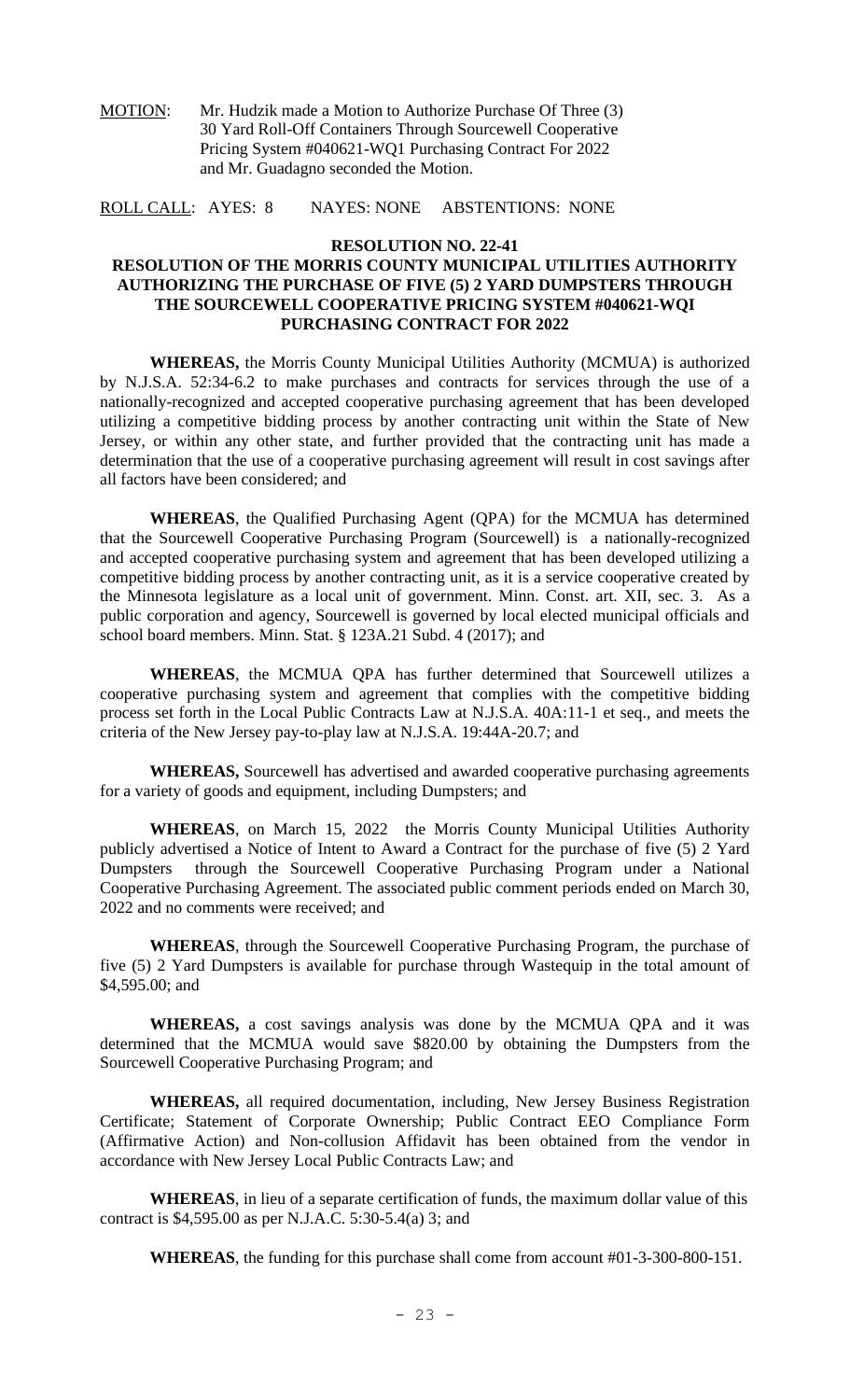MOTION: Mr. Hudzik made a Motion to Authorize Purchase Of Three (3) 30 Yard Roll-Off Containers Through Sourcewell Cooperative Pricing System #040621-WQ1 Purchasing Contract For 2022 and Mr. Guadagno seconded the Motion.

ROLL CALL: AYES: 8 NAYES: NONE ABSTENTIONS: NONE

#### **RESOLUTION NO. 22-41**

## **RESOLUTION OF THE MORRIS COUNTY MUNICIPAL UTILITIES AUTHORITY AUTHORIZING THE PURCHASE OF FIVE (5) 2 YARD DUMPSTERS THROUGH THE SOURCEWELL COOPERATIVE PRICING SYSTEM #040621-WQI PURCHASING CONTRACT FOR 2022**

**WHEREAS,** the Morris County Municipal Utilities Authority (MCMUA) is authorized by N.J.S.A. 52:34-6.2 to make purchases and contracts for services through the use of a nationally-recognized and accepted cooperative purchasing agreement that has been developed utilizing a competitive bidding process by another contracting unit within the State of New Jersey, or within any other state, and further provided that the contracting unit has made a determination that the use of a cooperative purchasing agreement will result in cost savings after all factors have been considered; and

**WHEREAS**, the Qualified Purchasing Agent (QPA) for the MCMUA has determined that the Sourcewell Cooperative Purchasing Program (Sourcewell) is a nationally-recognized and accepted cooperative purchasing system and agreement that has been developed utilizing a competitive bidding process by another contracting unit, as it is a service cooperative created by the Minnesota legislature as a local unit of government. Minn. Const. art. XII, sec. 3. As a public corporation and agency, Sourcewell is governed by local elected municipal officials and school board members. Minn. Stat. § 123A.21 Subd. 4 (2017); and

**WHEREAS**, the MCMUA QPA has further determined that Sourcewell utilizes a cooperative purchasing system and agreement that complies with the competitive bidding process set forth in the Local Public Contracts Law at N.J.S.A. 40A:11-1 et seq., and meets the criteria of the New Jersey pay-to-play law at N.J.S.A. 19:44A-20.7; and

**WHEREAS,** Sourcewell has advertised and awarded cooperative purchasing agreements for a variety of goods and equipment, including Dumpsters; and

**WHEREAS**, on March 15, 2022 the Morris County Municipal Utilities Authority publicly advertised a Notice of Intent to Award a Contract for the purchase of five (5) 2 Yard Dumpsters through the Sourcewell Cooperative Purchasing Program under a National Cooperative Purchasing Agreement. The associated public comment periods ended on March 30, 2022 and no comments were received; and

**WHEREAS**, through the Sourcewell Cooperative Purchasing Program, the purchase of five (5) 2 Yard Dumpsters is available for purchase through Wastequip in the total amount of \$4,595.00; and

**WHEREAS,** a cost savings analysis was done by the MCMUA QPA and it was determined that the MCMUA would save \$820.00 by obtaining the Dumpsters from the Sourcewell Cooperative Purchasing Program; and

**WHEREAS,** all required documentation, including, New Jersey Business Registration Certificate; Statement of Corporate Ownership; Public Contract EEO Compliance Form (Affirmative Action) and Non-collusion Affidavit has been obtained from the vendor in accordance with New Jersey Local Public Contracts Law; and

**WHEREAS**, in lieu of a separate certification of funds, the maximum dollar value of this contract is \$4,595.00 as per N.J.A.C. 5:30-5.4(a) 3; and

**WHEREAS**, the funding for this purchase shall come from account #01-3-300-800-151.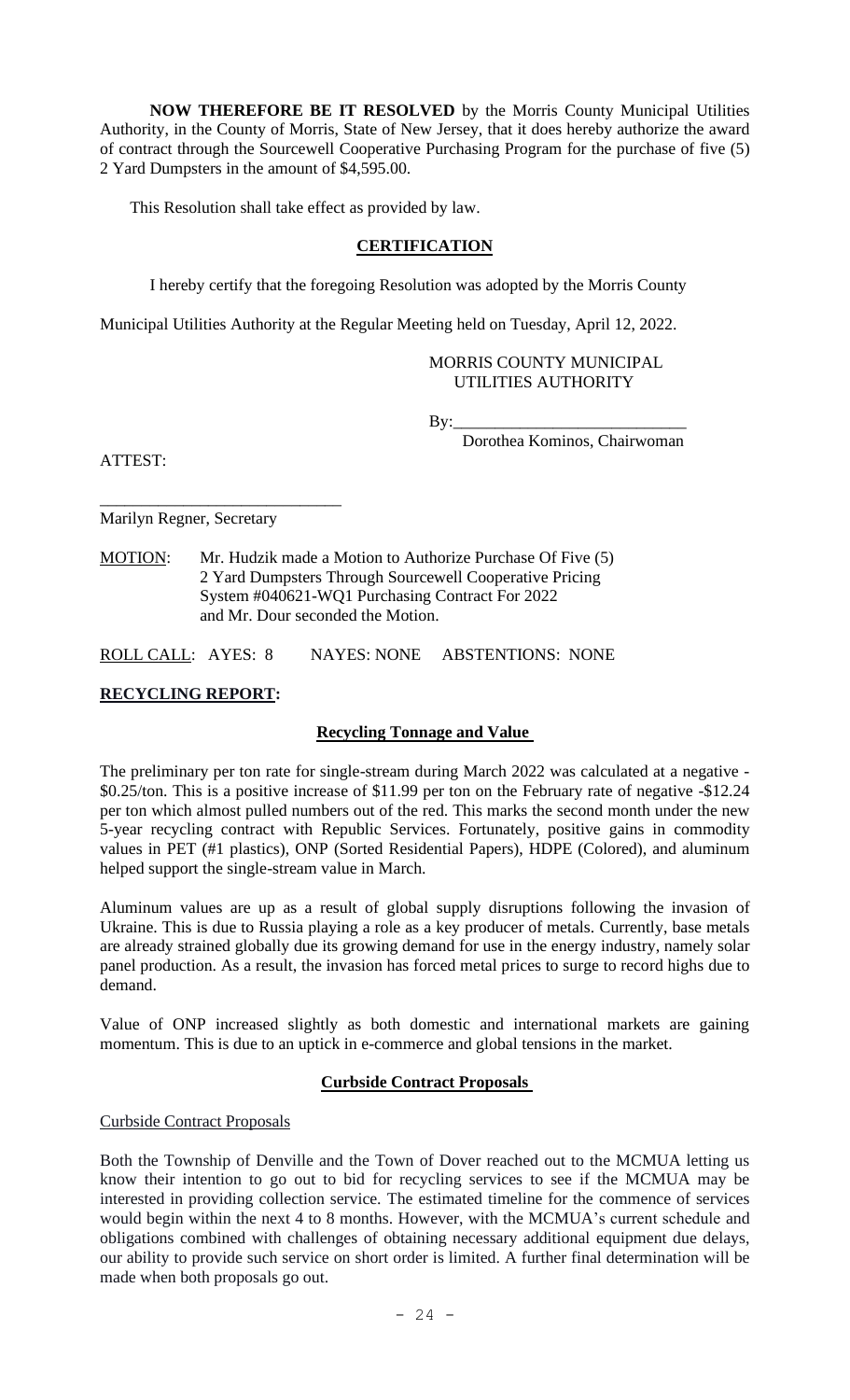**NOW THEREFORE BE IT RESOLVED** by the Morris County Municipal Utilities Authority, in the County of Morris, State of New Jersey, that it does hereby authorize the award of contract through the Sourcewell Cooperative Purchasing Program for the purchase of five (5) 2 Yard Dumpsters in the amount of \$4,595.00.

This Resolution shall take effect as provided by law.

## **CERTIFICATION**

I hereby certify that the foregoing Resolution was adopted by the Morris County

Municipal Utilities Authority at the Regular Meeting held on Tuesday, April 12, 2022.

## MORRIS COUNTY MUNICIPAL UTILITIES AUTHORITY

 $By:$ 

Dorothea Kominos, Chairwoman

ATTEST:

\_\_\_\_\_\_\_\_\_\_\_\_\_\_\_\_\_\_\_\_\_\_\_\_\_\_\_\_\_ Marilyn Regner, Secretary

MOTION: Mr. Hudzik made a Motion to Authorize Purchase Of Five (5) 2 Yard Dumpsters Through Sourcewell Cooperative Pricing System #040621-WQ1 Purchasing Contract For 2022 and Mr. Dour seconded the Motion.

ROLL CALL: AYES: 8 NAYES: NONE ABSTENTIONS: NONE

# **RECYCLING REPORT:**

# **Recycling Tonnage and Value**

The preliminary per ton rate for single-stream during March 2022 was calculated at a negative - \$0.25/ton. This is a positive increase of \$11.99 per ton on the February rate of negative -\$12.24 per ton which almost pulled numbers out of the red. This marks the second month under the new 5-year recycling contract with Republic Services. Fortunately, positive gains in commodity values in PET (#1 plastics), ONP (Sorted Residential Papers), HDPE (Colored), and aluminum helped support the single-stream value in March.

Aluminum values are up as a result of global supply disruptions following the invasion of Ukraine. This is due to Russia playing a role as a key producer of metals. Currently, base metals are already strained globally due its growing demand for use in the energy industry, namely solar panel production. As a result, the invasion has forced metal prices to surge to record highs due to demand.

Value of ONP increased slightly as both domestic and international markets are gaining momentum. This is due to an uptick in e-commerce and global tensions in the market.

## **Curbside Contract Proposals**

Curbside Contract Proposals

Both the Township of Denville and the Town of Dover reached out to the MCMUA letting us know their intention to go out to bid for recycling services to see if the MCMUA may be interested in providing collection service. The estimated timeline for the commence of services would begin within the next 4 to 8 months. However, with the MCMUA's current schedule and obligations combined with challenges of obtaining necessary additional equipment due delays, our ability to provide such service on short order is limited. A further final determination will be made when both proposals go out.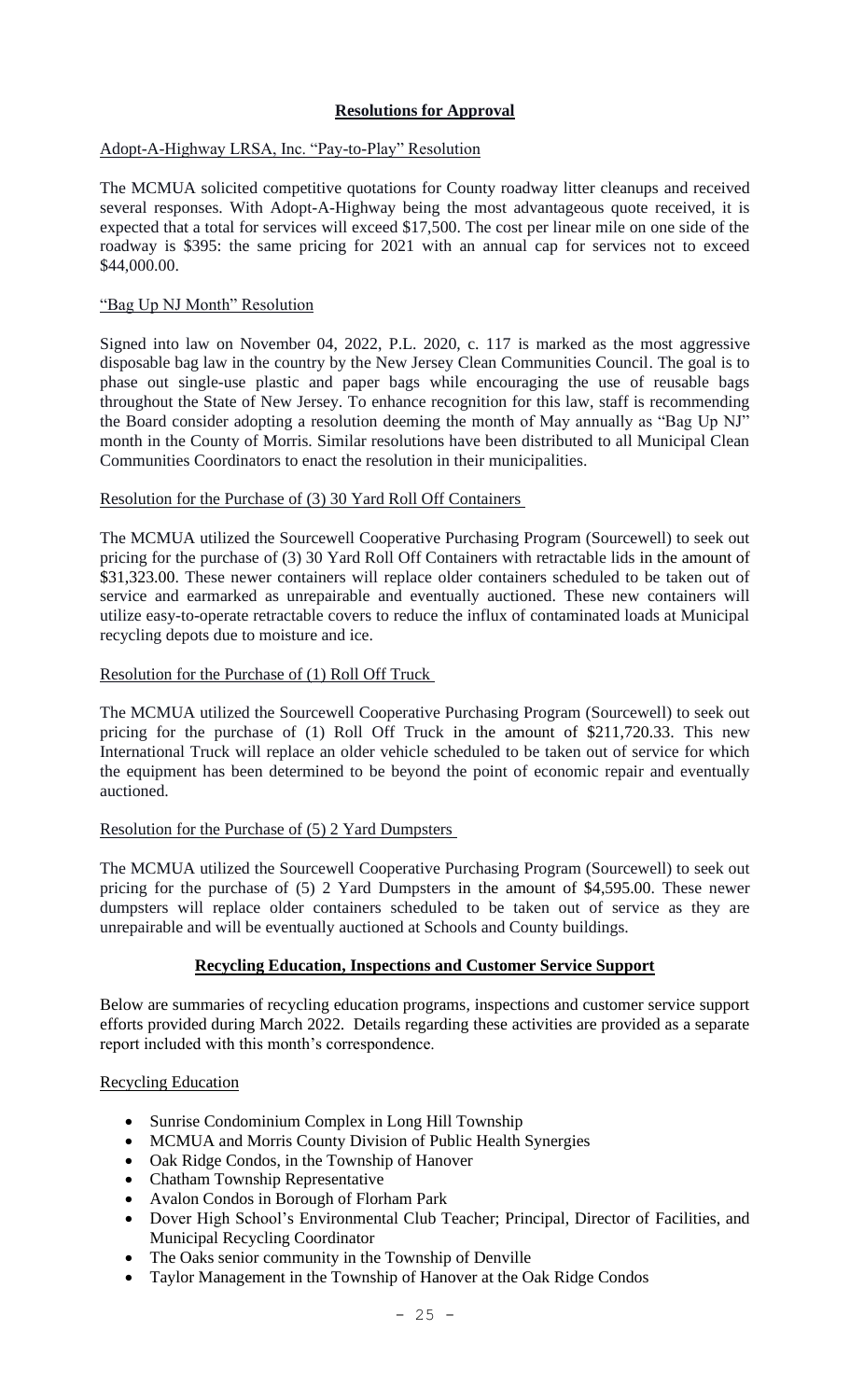# **Resolutions for Approval**

Adopt-A-Highway LRSA, Inc. "Pay-to-Play" Resolution

The MCMUA solicited competitive quotations for County roadway litter cleanups and received several responses. With Adopt-A-Highway being the most advantageous quote received, it is expected that a total for services will exceed \$17,500. The cost per linear mile on one side of the roadway is \$395: the same pricing for 2021 with an annual cap for services not to exceed \$44,000.00.

## "Bag Up NJ Month" Resolution

Signed into law on November 04, 2022, P.L. 2020, c. 117 is marked as the most aggressive disposable bag law in the country by the New Jersey Clean Communities Council. The goal is to phase out single-use plastic and paper bags while encouraging the use of reusable bags throughout the State of New Jersey. To enhance recognition for this law, staff is recommending the Board consider adopting a resolution deeming the month of May annually as "Bag Up NJ" month in the County of Morris. Similar resolutions have been distributed to all Municipal Clean Communities Coordinators to enact the resolution in their municipalities.

Resolution for the Purchase of (3) 30 Yard Roll Off Containers

The MCMUA utilized the Sourcewell Cooperative Purchasing Program (Sourcewell) to seek out pricing for the purchase of (3) 30 Yard Roll Off Containers with retractable lids in the amount of \$31,323.00. These newer containers will replace older containers scheduled to be taken out of service and earmarked as unrepairable and eventually auctioned. These new containers will utilize easy-to-operate retractable covers to reduce the influx of contaminated loads at Municipal recycling depots due to moisture and ice.

Resolution for the Purchase of (1) Roll Off Truck

The MCMUA utilized the Sourcewell Cooperative Purchasing Program (Sourcewell) to seek out pricing for the purchase of (1) Roll Off Truck in the amount of \$211,720.33. This new International Truck will replace an older vehicle scheduled to be taken out of service for which the equipment has been determined to be beyond the point of economic repair and eventually auctioned.

## Resolution for the Purchase of (5) 2 Yard Dumpsters

The MCMUA utilized the Sourcewell Cooperative Purchasing Program (Sourcewell) to seek out pricing for the purchase of (5) 2 Yard Dumpsters in the amount of \$4,595.00. These newer dumpsters will replace older containers scheduled to be taken out of service as they are unrepairable and will be eventually auctioned at Schools and County buildings.

# **Recycling Education, Inspections and Customer Service Support**

Below are summaries of recycling education programs, inspections and customer service support efforts provided during March 2022. Details regarding these activities are provided as a separate report included with this month's correspondence.

## Recycling Education

- Sunrise Condominium Complex in Long Hill Township
- MCMUA and Morris County Division of Public Health Synergies
- Oak Ridge Condos, in the Township of Hanover
- Chatham Township Representative
- Avalon Condos in Borough of Florham Park
- Dover High School's Environmental Club Teacher; Principal, Director of Facilities, and Municipal Recycling Coordinator
- The Oaks senior community in the Township of Denville
- Taylor Management in the Township of Hanover at the Oak Ridge Condos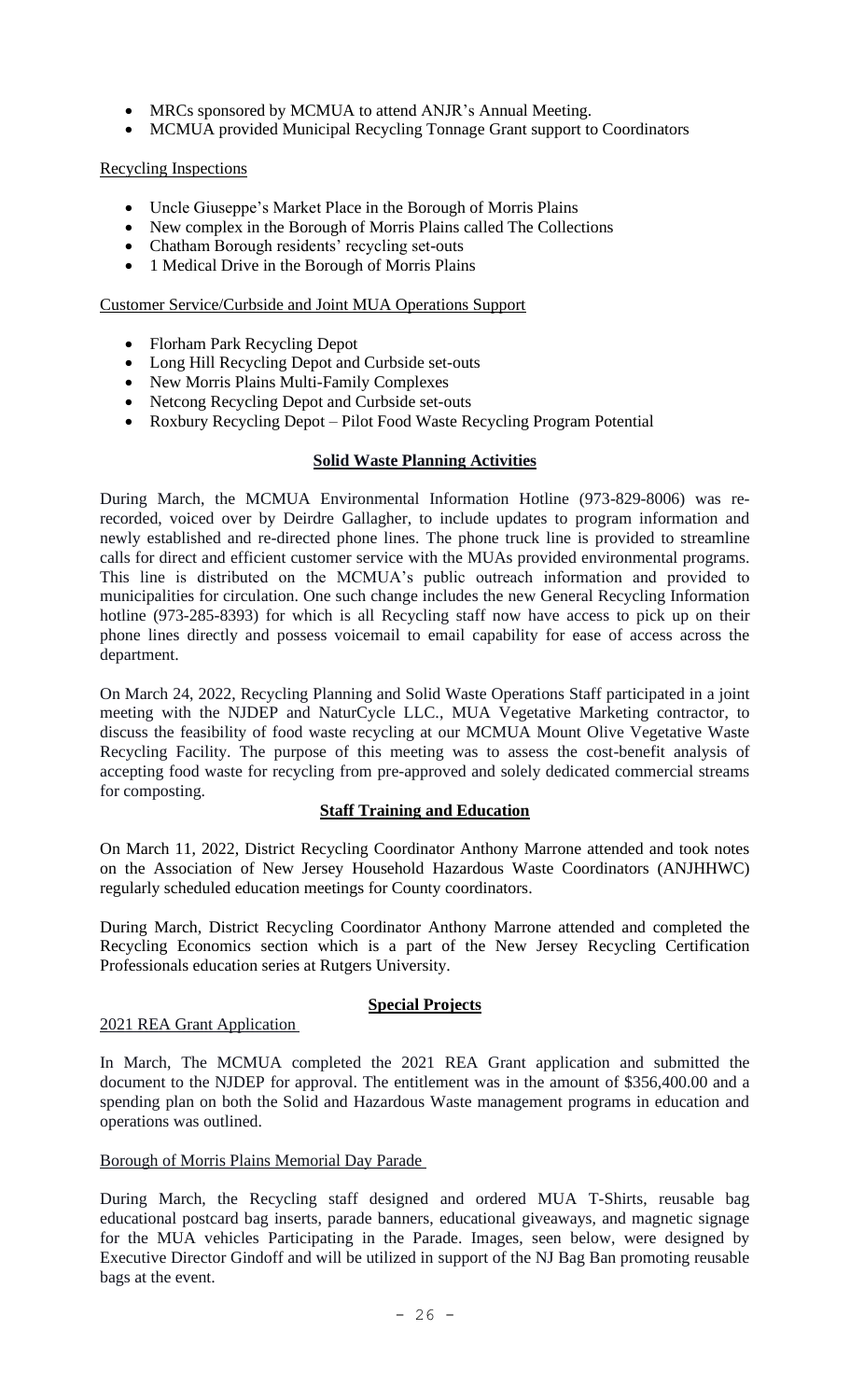- MRCs sponsored by MCMUA to attend ANJR's Annual Meeting.
- MCMUA provided Municipal Recycling Tonnage Grant support to Coordinators

## Recycling Inspections

- Uncle Giuseppe's Market Place in the Borough of Morris Plains
- New complex in the Borough of Morris Plains called The Collections
- Chatham Borough residents' recycling set-outs
- 1 Medical Drive in the Borough of Morris Plains

## Customer Service/Curbside and Joint MUA Operations Support

- Florham Park Recycling Depot
- Long Hill Recycling Depot and Curbside set-outs
- New Morris Plains Multi-Family Complexes
- Netcong Recycling Depot and Curbside set-outs
- Roxbury Recycling Depot Pilot Food Waste Recycling Program Potential

## **Solid Waste Planning Activities**

During March, the MCMUA Environmental Information Hotline (973-829-8006) was rerecorded, voiced over by Deirdre Gallagher, to include updates to program information and newly established and re-directed phone lines. The phone truck line is provided to streamline calls for direct and efficient customer service with the MUAs provided environmental programs. This line is distributed on the MCMUA's public outreach information and provided to municipalities for circulation. One such change includes the new General Recycling Information hotline (973-285-8393) for which is all Recycling staff now have access to pick up on their phone lines directly and possess voicemail to email capability for ease of access across the department.

On March 24, 2022, Recycling Planning and Solid Waste Operations Staff participated in a joint meeting with the NJDEP and NaturCycle LLC., MUA Vegetative Marketing contractor, to discuss the feasibility of food waste recycling at our MCMUA Mount Olive Vegetative Waste Recycling Facility. The purpose of this meeting was to assess the cost-benefit analysis of accepting food waste for recycling from pre-approved and solely dedicated commercial streams for composting.

## **Staff Training and Education**

On March 11, 2022, District Recycling Coordinator Anthony Marrone attended and took notes on the Association of New Jersey Household Hazardous Waste Coordinators (ANJHHWC) regularly scheduled education meetings for County coordinators.

During March, District Recycling Coordinator Anthony Marrone attended and completed the Recycling Economics section which is a part of the New Jersey Recycling Certification Professionals education series at Rutgers University.

## **Special Projects**

## 2021 REA Grant Application

In March, The MCMUA completed the 2021 REA Grant application and submitted the document to the NJDEP for approval. The entitlement was in the amount of \$356,400.00 and a spending plan on both the Solid and Hazardous Waste management programs in education and operations was outlined.

## Borough of Morris Plains Memorial Day Parade

During March, the Recycling staff designed and ordered MUA T-Shirts, reusable bag educational postcard bag inserts, parade banners, educational giveaways, and magnetic signage for the MUA vehicles Participating in the Parade. Images, seen below, were designed by Executive Director Gindoff and will be utilized in support of the NJ Bag Ban promoting reusable bags at the event.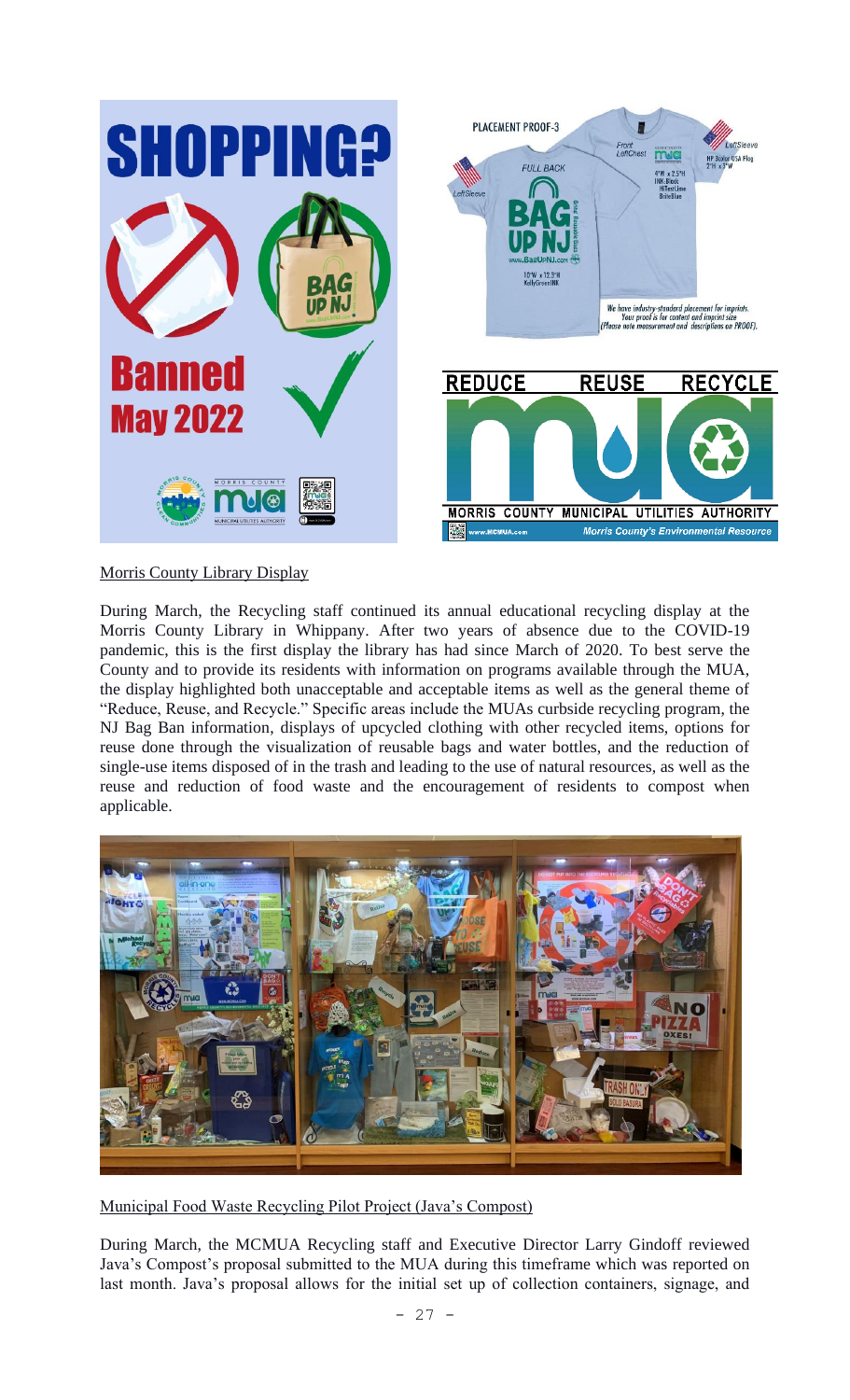

# Morris County Library Display

During March, the Recycling staff continued its annual educational recycling display at the Morris County Library in Whippany. After two years of absence due to the COVID-19 pandemic, this is the first display the library has had since March of 2020. To best serve the County and to provide its residents with information on programs available through the MUA, the display highlighted both unacceptable and acceptable items as well as the general theme of "Reduce, Reuse, and Recycle." Specific areas include the MUAs curbside recycling program, the NJ Bag Ban information, displays of upcycled clothing with other recycled items, options for reuse done through the visualization of reusable bags and water bottles, and the reduction of single-use items disposed of in the trash and leading to the use of natural resources, as well as the reuse and reduction of food waste and the encouragement of residents to compost when applicable.



Municipal Food Waste Recycling Pilot Project (Java's Compost)

During March, the MCMUA Recycling staff and Executive Director Larry Gindoff reviewed Java's Compost's proposal submitted to the MUA during this timeframe which was reported on last month. Java's proposal allows for the initial set up of collection containers, signage, and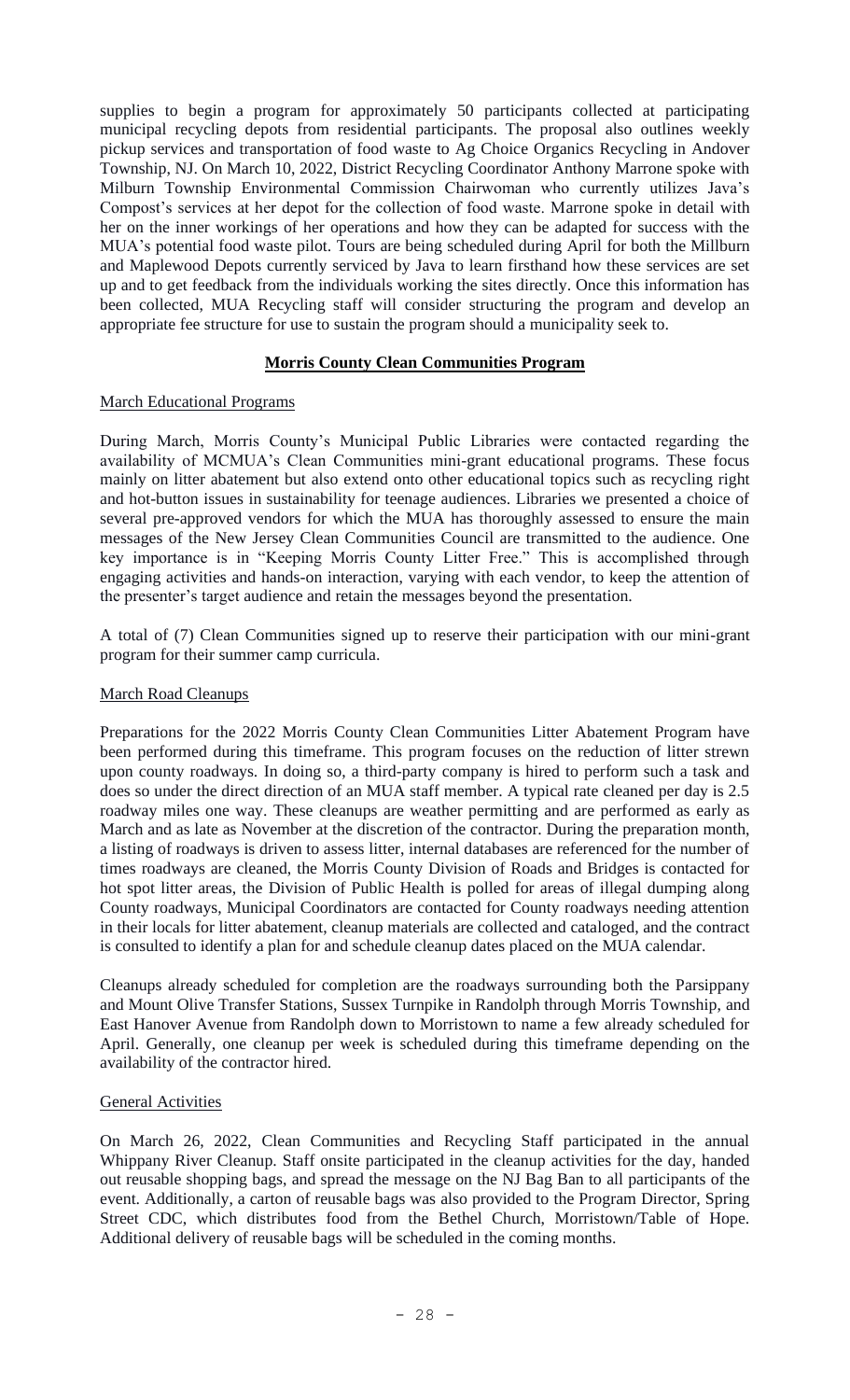supplies to begin a program for approximately 50 participants collected at participating municipal recycling depots from residential participants. The proposal also outlines weekly pickup services and transportation of food waste to Ag Choice Organics Recycling in Andover Township, NJ. On March 10, 2022, District Recycling Coordinator Anthony Marrone spoke with Milburn Township Environmental Commission Chairwoman who currently utilizes Java's Compost's services at her depot for the collection of food waste. Marrone spoke in detail with her on the inner workings of her operations and how they can be adapted for success with the MUA's potential food waste pilot. Tours are being scheduled during April for both the Millburn and Maplewood Depots currently serviced by Java to learn firsthand how these services are set up and to get feedback from the individuals working the sites directly. Once this information has been collected, MUA Recycling staff will consider structuring the program and develop an appropriate fee structure for use to sustain the program should a municipality seek to.

## **Morris County Clean Communities Program**

## March Educational Programs

During March, Morris County's Municipal Public Libraries were contacted regarding the availability of MCMUA's Clean Communities mini-grant educational programs. These focus mainly on litter abatement but also extend onto other educational topics such as recycling right and hot-button issues in sustainability for teenage audiences. Libraries we presented a choice of several pre-approved vendors for which the MUA has thoroughly assessed to ensure the main messages of the New Jersey Clean Communities Council are transmitted to the audience. One key importance is in "Keeping Morris County Litter Free." This is accomplished through engaging activities and hands-on interaction, varying with each vendor, to keep the attention of the presenter's target audience and retain the messages beyond the presentation.

A total of (7) Clean Communities signed up to reserve their participation with our mini-grant program for their summer camp curricula.

## March Road Cleanups

Preparations for the 2022 Morris County Clean Communities Litter Abatement Program have been performed during this timeframe. This program focuses on the reduction of litter strewn upon county roadways. In doing so, a third-party company is hired to perform such a task and does so under the direct direction of an MUA staff member. A typical rate cleaned per day is 2.5 roadway miles one way. These cleanups are weather permitting and are performed as early as March and as late as November at the discretion of the contractor. During the preparation month, a listing of roadways is driven to assess litter, internal databases are referenced for the number of times roadways are cleaned, the Morris County Division of Roads and Bridges is contacted for hot spot litter areas, the Division of Public Health is polled for areas of illegal dumping along County roadways, Municipal Coordinators are contacted for County roadways needing attention in their locals for litter abatement, cleanup materials are collected and cataloged, and the contract is consulted to identify a plan for and schedule cleanup dates placed on the MUA calendar.

Cleanups already scheduled for completion are the roadways surrounding both the Parsippany and Mount Olive Transfer Stations, Sussex Turnpike in Randolph through Morris Township, and East Hanover Avenue from Randolph down to Morristown to name a few already scheduled for April. Generally, one cleanup per week is scheduled during this timeframe depending on the availability of the contractor hired.

## General Activities

On March 26, 2022, Clean Communities and Recycling Staff participated in the annual Whippany River Cleanup. Staff onsite participated in the cleanup activities for the day, handed out reusable shopping bags, and spread the message on the NJ Bag Ban to all participants of the event. Additionally, a carton of reusable bags was also provided to the Program Director, Spring Street CDC, which distributes food from the Bethel Church, Morristown/Table of Hope. Additional delivery of reusable bags will be scheduled in the coming months.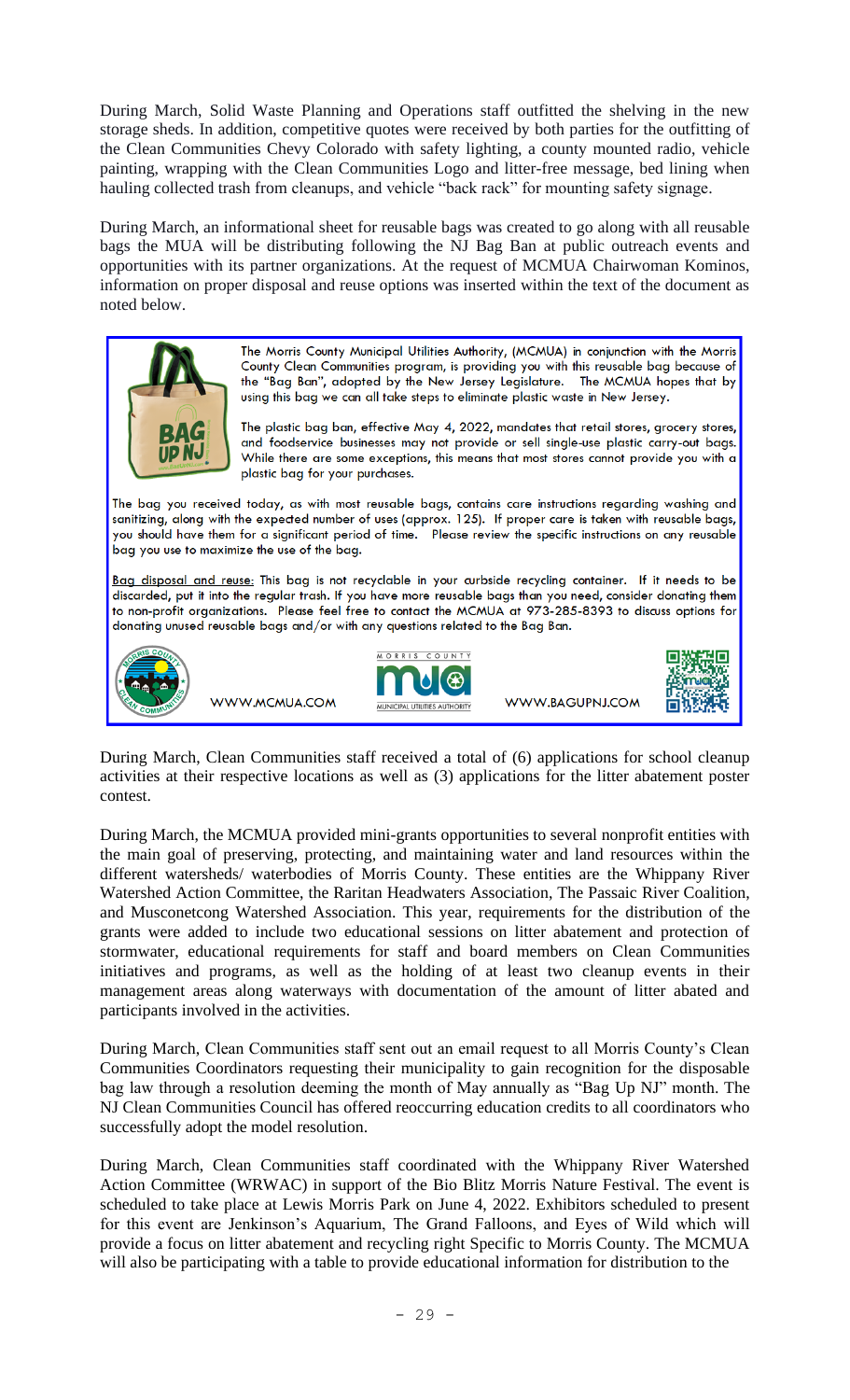During March, Solid Waste Planning and Operations staff outfitted the shelving in the new storage sheds. In addition, competitive quotes were received by both parties for the outfitting of the Clean Communities Chevy Colorado with safety lighting, a county mounted radio, vehicle painting, wrapping with the Clean Communities Logo and litter-free message, bed lining when hauling collected trash from cleanups, and vehicle "back rack" for mounting safety signage.

During March, an informational sheet for reusable bags was created to go along with all reusable bags the MUA will be distributing following the NJ Bag Ban at public outreach events and opportunities with its partner organizations. At the request of MCMUA Chairwoman Kominos, information on proper disposal and reuse options was inserted within the text of the document as noted below.



During March, Clean Communities staff received a total of (6) applications for school cleanup activities at their respective locations as well as (3) applications for the litter abatement poster contest.

During March, the MCMUA provided mini-grants opportunities to several nonprofit entities with the main goal of preserving, protecting, and maintaining water and land resources within the different watersheds/ waterbodies of Morris County. These entities are the Whippany River Watershed Action Committee, the Raritan Headwaters Association, The Passaic River Coalition, and Musconetcong Watershed Association. This year, requirements for the distribution of the grants were added to include two educational sessions on litter abatement and protection of stormwater, educational requirements for staff and board members on Clean Communities initiatives and programs, as well as the holding of at least two cleanup events in their management areas along waterways with documentation of the amount of litter abated and participants involved in the activities.

During March, Clean Communities staff sent out an email request to all Morris County's Clean Communities Coordinators requesting their municipality to gain recognition for the disposable bag law through a resolution deeming the month of May annually as "Bag Up NJ" month. The NJ Clean Communities Council has offered reoccurring education credits to all coordinators who successfully adopt the model resolution.

During March, Clean Communities staff coordinated with the Whippany River Watershed Action Committee (WRWAC) in support of the Bio Blitz Morris Nature Festival. The event is scheduled to take place at Lewis Morris Park on June 4, 2022. Exhibitors scheduled to present for this event are Jenkinson's Aquarium, The Grand Falloons, and Eyes of Wild which will provide a focus on litter abatement and recycling right Specific to Morris County. The MCMUA will also be participating with a table to provide educational information for distribution to the